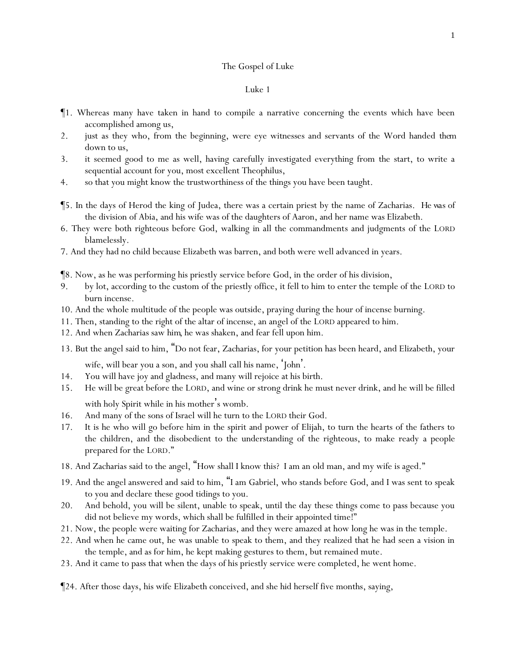## The Gospel of Luke

- ¶1. Whereas many have taken in hand to compile a narrative concerning the events which have been accomplished among us,
- 2. just as they who, from the beginning, were eye witnesses and servants of the Word handed *them* down to us,
- 3. it seemed good to me as well, having carefully investigated everything from the start, to write a sequential account for you, most excellent Theophilus,
- 4. so that you might know the trustworthiness of the things you have been taught.
- ¶5. In the days of Herod the king of Judea, there was a certain priest by the name of Zacharias. *He was* of the division of Abia, and his wife was of the daughters of Aaron, and her name was Elizabeth.
- 6. They were both righteous before God, walking in all the commandments and judgments of the LORD blamelessly.
- 7. And they had no child because Elizabeth was barren, and both were well advanced in years.
- ¶8. Now, as he was performing his priestly service before God, in the order of his division,
- 9. by lot, according to the custom of the priestly office, it fell to him to enter the temple of the LORD to burn incense.
- 10. And the whole multitude of the people was outside, praying during the hour of incense burning.
- 11. Then, standing to the right of the altar of incense, an angel of the LORD appeared to him.
- 12. And when Zacharias saw *him,* he was shaken, and fear fell upon him.
- 13. But the angel said to him, "Do not fear, Zacharias, for your petition has been heard, and Elizabeth, your wife, will bear you a son, and you shall call his name, 'John'.
- 14. You will have joy and gladness, and many will rejoice at his birth.
- 15. He will be great before the LORD, and wine or strong drink he must never drink, and he will be filled with holy Spirit while in his mother's womb.
- 16. And many of the sons of Israel will he turn to the LORD their God.
- 17. It is he who will go before him in the spirit and power of Elijah, to turn the hearts of the fathers to the children, and the disobedient to the understanding of the righteous, to make ready a people prepared for the LORD."
- 18. And Zacharias said to the angel, "How shall I know this? I am an old man, and my wife is aged."
- 19. And the angel answered and said to him, "I am Gabriel, who stands before God, and I was sent to speak to you and declare these good tidings to you.
- 20. And behold, you will be silent, unable to speak, until the day these things come to pass because you did not believe my words, which shall be fulfilled in their appointed time!"
- 21. Now, the people were waiting for Zacharias, and they were amazed at how long he was in the temple.
- 22. And when he came out, he was unable to speak to them, and they realized that he had seen a vision in the temple, and as for him, he kept making gestures to them, but remained mute.
- 23. And it came to pass that when the days of his priestly service were completed, he went home.
- ¶24. After those days, his wife Elizabeth conceived, and she hid herself five months, saying,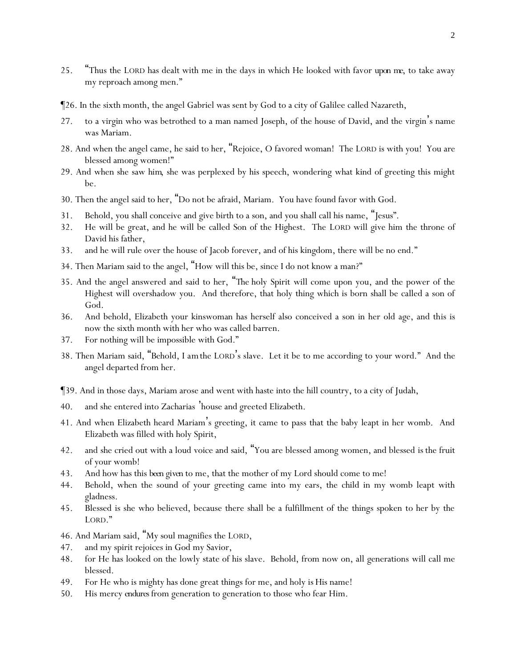- 25. "Thus the LORD has dealt with me in the days in which He looked with favor *upon me*, to take away my reproach among men."
- ¶26. In the sixth month, the angel Gabriel was sent by God to a city of Galilee called Nazareth,
- 27. to a virgin who was betrothed to a man named Joseph, of the house of David, and the virgin's name was Mariam.
- 28. And when the angel came, he said to her, "Rejoice, O favored woman! The LORD is with you! You are blessed among women!"
- 29. And when she saw *him*, she was perplexed by his speech, wondering what kind of greeting this might be.
- 30. Then the angel said to her, "Do not be afraid, Mariam. You have found favor with God.
- 31. Behold, you shall conceive and give birth to a son, and you shall call his name, "Jesus".
- 32. He will be great, and he will be called Son of the Highest. The LORD will give him the throne of David his father,
- 33. and he will rule over the house of Jacob forever, and of his kingdom, there will be no end."
- 34. Then Mariam said to the angel, "How will this be, since I do not know a man?"
- 35. And the angel answered and said to her, "*The* holy Spirit will come upon you, and the power of the Highest will overshadow you. And therefore, that holy thing which is born shall be called a son of God.
- 36. And behold, Elizabeth your kinswoman has herself also conceived a son in her old age, and this is now the sixth month with her who was called barren.
- 37. For nothing will be impossible with God."
- 38. Then Mariam said, "Behold, *I am*the LORD's slave. Let it be to me according to your word." And the angel departed from her.
- ¶39. And in those days, Mariam arose and went with haste into the hill country, to a city of Judah,
- 40. and she entered into Zacharias 'house and greeted Elizabeth.
- 41. And when Elizabeth heard Mariam's greeting, it came to pass that the baby leapt in her womb. And Elizabeth was filled with holy Spirit,
- 42. and she cried out with a loud voice and said, "You are blessed among women, and blessed *is* the fruit of your womb!
- 43. And how has this *been given* to me, that the mother of my Lord should come to me!
- 44. Behold, when the sound of your greeting came into my ears, the child in my womb leapt with gladness.
- 45. Blessed is she who believed, because there shall be a fulfillment of the things spoken to her by the LORD."
- 46. And Mariam said, "My soul magnifies the LORD,
- 47. and my spirit rejoices in God my Savior,
- 48. for He has looked on the lowly state of his slave. Behold, from now on, all generations will call me blessed.
- 49. For He who is mighty has done great things for me, and holy *is* His name!
- 50. His mercy *endures* from generation to generation to those who fear Him.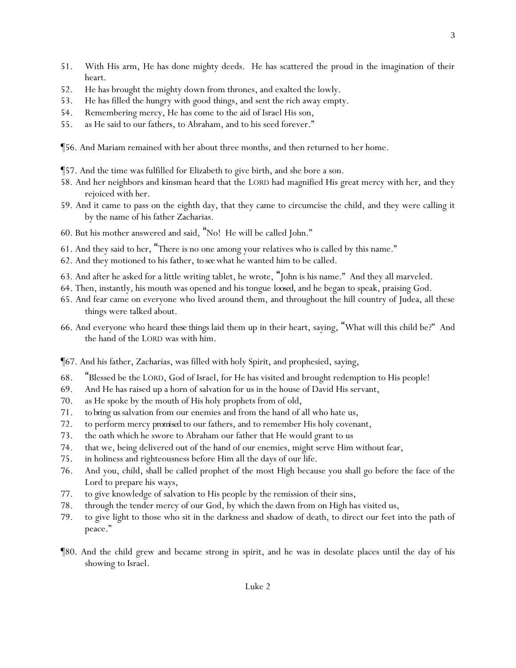- 51. With His arm, He has done mighty deeds. He has scattered the proud in the imagination of their heart.
- 52. He has brought the mighty down from thrones, and exalted the lowly.
- 53. He has filled the hungry with good things, and sent the rich away empty.
- 54. Remembering mercy, He has come to the aid of Israel His son,
- 55. as He said to our fathers, to Abraham, and to his seed forever."
- ¶56. And Mariam remained with her about three months, and then returned to her home.
- ¶57. And the time was fulfilled for Elizabeth to give birth, and she bore a son.
- 58. And her neighbors and kinsman heard that the LORD had magnified His great mercy with her, and they rejoiced with her.
- 59. And it came to pass on the eighth day, that they came to circumcise the child, and they were calling it by the name of his father Zacharias.
- 60. But his mother answered and said, "No! He will be called John."
- 61. And they said to her, "There is no one among your relatives who is called by this name."
- 62. And they motioned to his father, *to see*what he wanted him to be called.
- 63. And after he asked for a little writing tablet, he wrote, "John is his name." And they all marveled.
- 64. Then, instantly, his mouth was opened and his tongue *loosed,* and he began to speak, praising God.
- 65. And fear came on everyone who lived around them, and throughout the hill country of Judea, all these things were talked about.
- 66. And everyone who heard *these things* laid them up in their heart, saying, "What will this child be?" And the hand of the LORD was with him.

¶67. And his father, Zacharias, was filled with holy Spirit, and prophesied, saying,

- 68. "Blessed be the LORD, God of Israel, for He has visited and brought redemption to His people!
- 69. And He has raised up a horn of salvation for us in the house of David His servant,
- 70. as He spoke by the mouth of His holy prophets from of old,
- 71. *to bring us* salvation from our enemies and from the hand of all who hate us,
- 72. to perform mercy *promised* to our fathers, and to remember His holy covenant,
- 73. the oath which he swore to Abraham our father that He would grant to us
- 74. that we, being delivered out of the hand of our enemies, might serve Him without fear,
- 75. in holiness and righteousness before Him all the days of our life.
- 76. And you, child, shall be called prophet of the most High because you shall go before the face of the Lord to prepare his ways,
- 77. to give knowledge of salvation to His people by the remission of their sins,
- 78. through the tender mercy of our God, by which the dawn from on High has visited us,
- 79. to give light to those who sit in the darkness and shadow of death, to direct our feet into the path of peace."
- ¶80. And the child grew and became strong in spirit, and he was in desolate places until the day of his showing to Israel.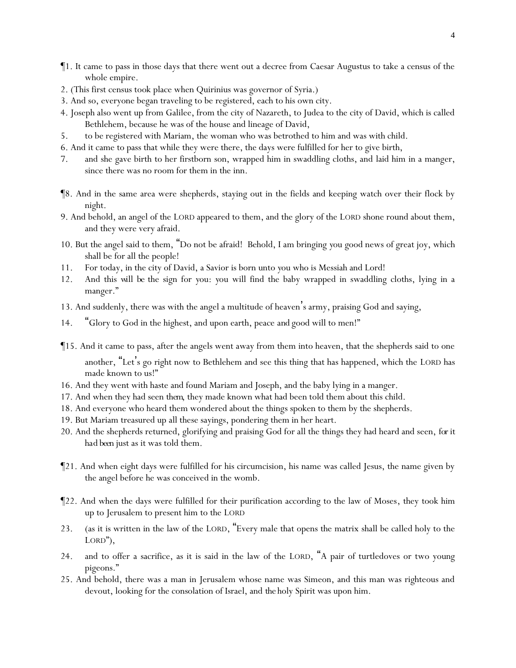- ¶1. It came to pass in those days that there went out a decree from Caesar Augustus to take a census of the whole empire.
- 2. (This first census took place when Quirinius was governor of Syria.)
- 3. And so, everyone began traveling to be registered, each to his own city.
- 4. Joseph also went up from Galilee, from the city of Nazareth, to Judea to the city of David, which is called Bethlehem, because he was of the house and lineage of David,
- 5. to be registered with Mariam, the woman who was betrothed to him and was with child.
- 6. And it came to pass that while they were there, the days were fulfilled for her to give birth,
- 7. and she gave birth to her firstborn son, wrapped him in swaddling cloths, and laid him in a manger, since there was no room for them in the inn.
- ¶8. And in the same area were shepherds, staying out in the fields and keeping watch over their flock by night.
- 9. And behold, an angel of the LORD appeared to them, and the glory of the LORD shone round about them, and they were very afraid.
- 10. But the angel said to them, "Do not be afraid! Behold, I am bringing *y*ou good news of great joy, which shall be for all the people!
- 11. For today, in the city of David, a Savior is born unto *y*ou who is Messiah and Lord!
- 12. And this *will be* the sign for *y*ou: *y*ou will find the baby wrapped in swaddling cloths, lying in a manger."
- 13. And suddenly, there was with the angel a multitude of heaven's army, praising God and saying,
- 14. "Glory to God in the highest, and upon earth, peace *and* good will to men!"
- ¶15. And it came to pass, after the angels went away from them into heaven, that the shepherds said to one another, "Let's go right now to Bethlehem and see this thing that has happened, which the LORD has made known to us!"
- 16. And they went with haste and found Mariam and Joseph, and the baby lying in a manger.
- 17. And when they had seen *them*, they made known what had been told them about this child.
- 18. And everyone who heard them wondered about the things spoken to them by the shepherds.
- 19. But Mariam treasured up all these sayings, pondering them in her heart.
- 20. And the shepherds returned, glorifying and praising God for all the things they had heard and seen, *for it had been* just as it was told them.
- ¶21. And when eight days were fulfilled for his circumcision, his name was called Jesus, the name given by the angel before he was conceived in the womb.
- ¶22. And when the days were fulfilled for their purification according to the law of Moses, they took him up to Jerusalem to present him to the LORD
- 23. (as it is written in the law of the LORD, "Every male that opens the matrix shall be called holy to the LORD"),
- 24. and to offer a sacrifice, as it is said in the law of the LORD, "A pair of turtledoves or two young pigeons."
- 25. And behold, there was a man in Jerusalem whose name was Simeon, and this man was righteous and devout, looking for the consolation of Israel, and *the* holy Spirit was upon him.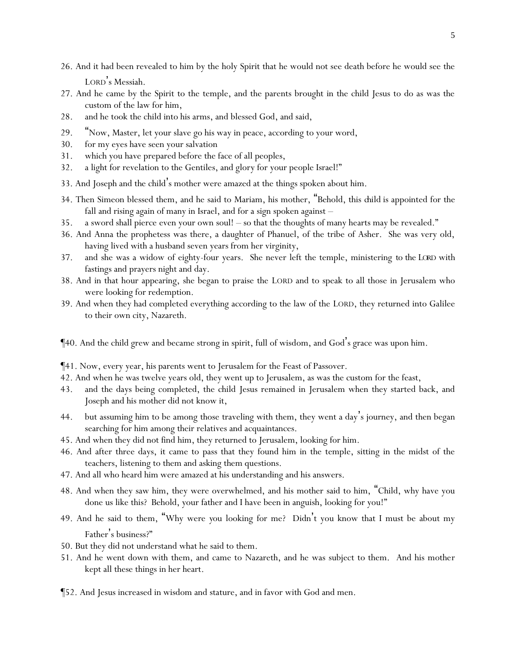- 26. And it had been revealed to him by the holy Spirit that he would not see death before he would see the LORD's Messiah.
- 27. And he came by the Spirit to the temple, and the parents brought in the child Jesus to do as was the custom of the law for him,
- 28. and he took the child into his arms, and blessed God, and said,
- 29. "Now, Master, let your slave go his way in peace, according to your word,
- 30. for my eyes have seen your salvation
- 31. which you have prepared before the face of all peoples,
- 32. a light for revelation to the Gentiles, and glory for your people Israel!"
- 33. And Joseph and the child's mother were amazed at the things spoken about him.
- 34. Then Simeon blessed them, and he said to Mariam, his mother, "Behold, this *child* is appointed for the fall and rising again of many in Israel, and for a sign spoken against –
- 35. a sword shall pierce even your own soul! so that the thoughts of many hearts may be revealed."
- 36. And Anna the prophetess was there, a daughter of Phanuel, of the tribe of Asher. She was very old, having lived with a husband seven years from her virginity,
- 37. and she was a widow of eighty-four years. She never left the temple, ministering *to the LORD* with fastings and prayers night and day.
- 38. And in that hour appearing, she began to praise the LORD and to speak to all those in Jerusalem who were looking for redemption.
- 39. And when they had completed everything according to the law of the LORD, they returned into Galilee to their own city, Nazareth.
- ¶40. And the child grew and became strong in spirit, full of wisdom, and God's grace was upon him.
- ¶41. Now, every year, his parents went to Jerusalem for the Feast of Passover.
- 42. And when he was twelve years old, they went up to Jerusalem, as was the custom for the feast,
- 43. and the days being completed, the child Jesus remained in Jerusalem when they started back, and Joseph and his mother did not know it,
- 44. but assuming him to be among those traveling with them, they went a day's journey, and then began searching for him among their relatives and acquaintances.
- 45. And when they did not find him, they returned to Jerusalem, looking for him.
- 46. And after three days, it came to pass that they found him in the temple, sitting in the midst of the teachers, listening to them and asking them questions.
- 47. And all who heard him were amazed at his understanding and his answers.
- 48. And when they saw him, they were overwhelmed, and his mother said to him, "Child, why have you done us like this? Behold, your father and I have been in anguish, looking for you!"
- 49. And he said to them, "Why were *y*ou looking for me? Didn't you know that I must be about my Father's business?"
- 50. But they did not understand what he said to them.
- 51. And he went down with them, and came to Nazareth, and he was subject to them. And his mother kept all these things in her heart.
- ¶52. And Jesus increased in wisdom and stature, and in favor with God and men.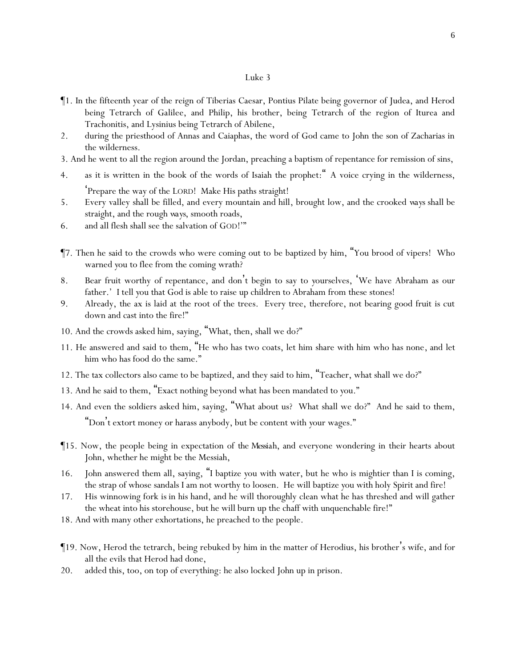- ¶1. In the fifteenth year of the reign of Tiberias Caesar, Pontius Pilate being governor of Judea, and Herod being Tetrarch of Galilee, and Philip, his brother, being Tetrarch of the region of Iturea and Trachonitis, and Lysinius being Tetrarch of Abilene,
- 2. during the priesthood of Annas and Caiaphas, the word of God came to John the son of Zacharias in the wilderness.
- 3. And he went to all the region around the Jordan, preaching a baptism of repentance for remission of sins,
- 4. as it is written in the book of the words of Isaiah the prophet:" A voice crying in the wilderness, 'Prepare the way of the LORD! Make His paths straight!
- 5. Every valley shall be filled, and every mountain and hill, brought low, and the crooked *ways* shall be straight, and the rough *ways*, smooth roads,
- 6. and all flesh shall see the salvation of GOD!'"
- ¶7. Then he said to the crowds who were coming out to be baptized by him, "You brood of vipers! Who warned *y*ou to flee from the coming wrath?
- 8. Bear fruit worthy of repentance, and don't begin to say to *y*ourselves, 'We have Abraham as our father.' I tell *y*ou that God is able to raise up children to Abraham from these stones!
- 9. Already, the ax is laid at the root of the trees. Every tree, therefore, not bearing good fruit is cut down and cast into the fire!"
- 10. And the crowds asked him, saying, "What, then, shall we do?"
- 11. He answered and said to them, "He who has two coats, let him share with him who has none*,* and let him who has food do the same."
- 12. The tax collectors also came to be baptized, and they said to him, "Teacher, what shall we do?"
- 13. And he said to them, "Exact nothing beyond what has been mandated to *y*ou."
- 14. And even the soldiers asked him, saying, "What about us? What shall we do?" And he said to them, "Don't extort money or harass anybody, but be content with *y*our wages."
- ¶15. Now, the people being in expectation of *the Messiah,* and everyone wondering in their hearts about John, whether he might be the Messiah,
- 16. John answered them all, saying, "I baptize *y*ou with water, but he who is mightier than I is coming, the strap of whose sandals I am not worthy to loosen. He will baptize *y*ou with holy Spirit and fire!
- 17. His winnowing fork *is* in his hand, and he will thoroughly clean what he has threshed and will gather the wheat into his storehouse, but he will burn up the chaff with unquenchable fire!"
- 18. And with many other exhortations, he preached to the people.
- ¶19. Now, Herod the tetrarch, being rebuked by him in the matter of Herodius, his brother's wife, and for all the evils that Herod had done,
- 20. added this, too, on top of everything: he also locked John up in prison.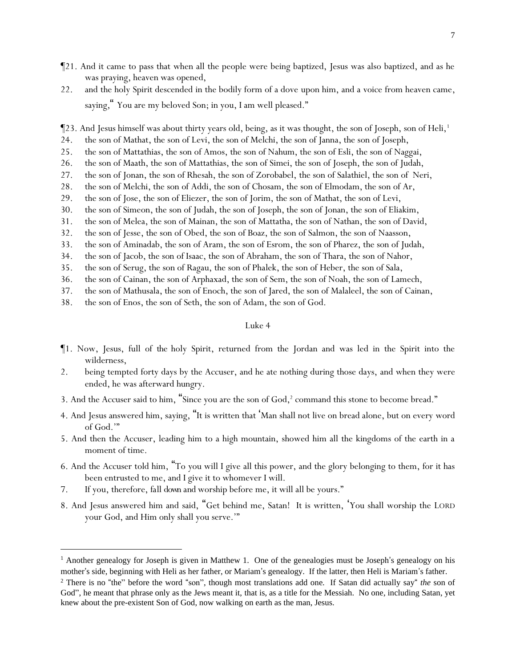- ¶21. And it came to pass that when all the people were being baptized, Jesus was also baptized, and as he was praying, heaven was opened,
- 22. and the holy Spirit descended in the bodily form of a dove upon him, and a voice from heaven came, saying*,*" You are my beloved Son; in you, I am well pleased."

¶23. And Jesus himself was about thirty years old, being, as it was thought, the son of Joseph, son of Heli,<sup>1</sup>

- 24. the son of Mathat, the son of Levi, the son of Melchi, the son of Janna, the son of Joseph,
- 25. the son of Mattathias, the son of Amos, the son of Nahum, the son of Esli, the son of Naggai,
- 26. the son of Maath, the son of Mattathias, the son of Simei, the son of Joseph, the son of Judah,
- 27. the son of Jonan, the son of Rhesah, the son of Zorobabel, the son of Salathiel, the son of Neri,
- 28. the son of Melchi, the son of Addi, the son of Chosam, the son of Elmodam, the son of Ar,
- 29. the son of Jose, the son of Eliezer, the son of Jorim, the son of Mathat, the son of Levi,
- 30. the son of Simeon, the son of Judah, the son of Joseph, the son of Jonan, the son of Eliakim,
- 31. the son of Melea, the son of Mainan, the son of Mattatha, the son of Nathan, the son of David,
- 32. the son of Jesse, the son of Obed, the son of Boaz, the son of Salmon, the son of Naasson,
- 33. the son of Aminadab, the son of Aram, the son of Esrom, the son of Pharez, the son of Judah,
- 34. the son of Jacob, the son of Isaac, the son of Abraham, the son of Thara, the son of Nahor,
- 35. the son of Serug, the son of Ragau, the son of Phalek, the son of Heber, the son of Sala,
- 36. the son of Cainan, the son of Arphaxad, the son of Sem, the son of Noah, the son of Lamech,
- 37. the son of Mathusala, the son of Enoch, the son of Jared, the son of Malaleel, the son of Cainan,
- 38. the son of Enos, the son of Seth, the son of Adam, the son of God.

- ¶1. Now, Jesus, full of *the* holy Spirit, returned from the Jordan and was led in the Spirit into the wilderness,
- 2. being tempted forty days by the Accuser, and he ate nothing during those days, and when they were ended, he was afterward hungry.
- 3. And the Accuser said to him, "Since you are the son of  $God, ^2$  command this stone to become bread."
- 4. And Jesus answered him, saying, "It is written that 'Man shall not live on bread alone, but on every word of God.'"
- 5. And then the Accuser, leading him to a high mountain, showed him all the kingdoms of the earth in a moment of time.
- 6. And the Accuser told him, "To you will I give all this power, and the glory belonging to them, for it has been entrusted to me, and I give it to whomever I will.
- 7. If you, therefore, *fall down and* worship before me, it will all be yours."
- 8. And Jesus answered him and said, "Get behind me, Satan! It is written, 'You shall worship the LORD your God, and Him only shall you serve.'"

<sup>&</sup>lt;sup>1</sup> Another genealogy for Joseph is given in Matthew 1. One of the genealogies must be Joseph's genealogy on his mother's side, beginning with Heli as her father, or Mariam's genealogy. If the latter, then Heli is Mariam 's father.

<sup>2</sup> There is no "the" before the word "son", though most translations add one. If Satan did actually say" *the* son of God", he meant that phrase only as the Jews meant it, that is, as a title for the Messiah. No one, including Satan, yet knew about the pre-existent Son of God, now walking on earth as the man, Jesus.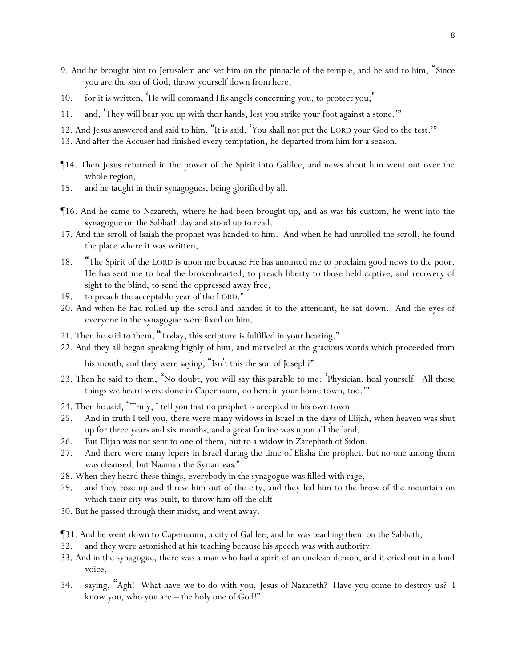- 9. And he brought him to Jerusalem and set him on the pinnacle of the temple, and he said to him, "Since you are the son of God, throw yourself down from here,
- 10. for it is written, 'He will command His angels concerning you, to protect you, '
- 11. and, 'They will bear you up with *their* hands, lest you strike your foot against a stone.'"
- 12. And Jesus answered and said to him, "It is said, 'You shall not put the LORD your God to the test.'"
- 13. And after the Accuser had finished every temptation, he departed from him for a season.
- ¶14. Then Jesus returned in the power of the Spirit into Galilee, and news about him went out over the whole region,
- 15. and he taught in their synagogues, being glorified by all.
- ¶16. And he came to Nazareth, where he had been brought up, and as was his custom, he went into the synagogue on the Sabbath day and stood up to read.
- 17. And the scroll of Isaiah the prophet was handed to him. And when he had unrolled the scroll, he found the place where it was written,
- 18. "The Spirit of the LORD is upon me because He has anointed me to proclaim good news to the poor. He has sent me to heal the brokenhearted, to preach liberty to those held captive, and recovery of sight to the blind, to send the oppressed away free,
- 19. to preach the acceptable year of the LORD."
- 20. And when he had rolled up the scroll and handed it to the attendant, he sat down. And the eyes of everyone in the synagogue were fixed on him.
- 21. Then he said to them, "Today, this scripture is fulfilled in your hearing."
- 22. And they all began speaking highly of him, and marveled at the gracious words which proceeded from his mouth, and they were saying, "Isn't this the son of Joseph?"
- 23. Then he said to them, "No doubt, you will say this parable to me: 'Physician, heal yourself! All those things we heard were done in Capernaum, do here in your home town, too.'"
- 24. Then he said, "Truly, I tell *y*ou that no prophet is accepted in his own town.
- 25. And in truth I tell *y*ou, there were many widows in Israel in the days of Elijah, when heaven was shut up for three years and six months, and a great famine was upon all the land.
- 26. But Elijah was not sent to one of them, but to a widow in Zarephath of Sidon.
- 27. And there were many lepers in Israel during the time of Elisha the prophet, but no one among them was cleansed, but Naaman the Syrian *was*."
- 28. When they heard these things, everybody in the synagogue was filled with rage,
- 29. and they rose up and threw him out of the city, and they led him to the brow of the mountain on which their city was built, to throw him off the cliff.
- 30. But he passed through their midst, and went away.
- ¶31. And he went down to Capernaum, a city of Galilee, and he was teaching them on the Sabbath,
- 32. and they were astonished at his teaching because his speech was with authority.
- 33. And in the synagogue, there was a man who had a spirit of an unclean demon, and it cried out in a loud voice,
- 34. saying, "Agh! What have we to do with you, Jesus of Nazareth? Have you come to destroy us? I know you, who you are – the holy one of God!"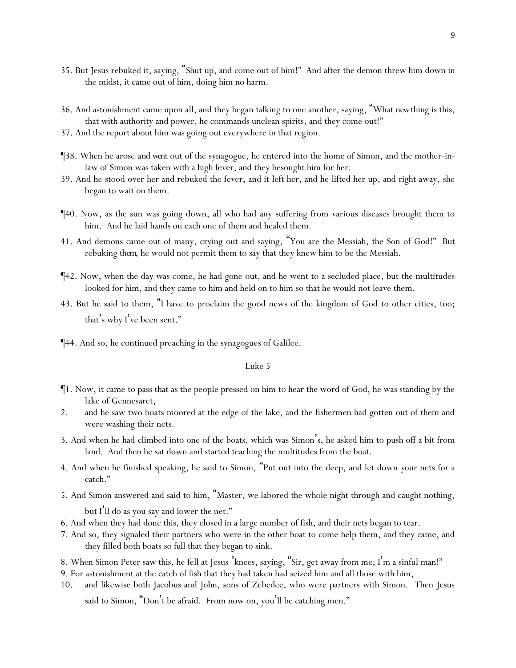- 35. But Jesus rebuked it, saying, "Shut up, and come out of him!" And after the demon threw him down in the midst, it came out of him, doing him no harm.
- 36. And astonishment came upon all, and they began talking to one another, saying, "What *new*thing is this, that with authority and power, he commands unclean spirits, and they come out!"
- 37. And the report about him was going out everywhere in that region.
- ¶38. When he arose *and went* out of the synagogue, he entered into the home of Simon, and the mother-inlaw of Simon was taken with a high fever, and they besought him for her.
- 39. And he stood over her and rebuked the fever, and it left her, and he lifted her up, and right away, she began to wait on them.
- ¶40. Now, as the sun was going down, all who had any suffering from various diseases brought them to him. And he laid hands on each one of them and healed them.
- 41. And demons came out of many, crying out and saying, "You are the Messiah, the Son of God!" But rebuking *them*, he would not permit them to say that they knew him to be the Messiah.
- ¶42. Now, when the day was come, he had gone out, and he went to a secluded place, but the multitudes looked for him, and they came to him and held on to him so that he would not leave them.
- 43. But he said to them, "I have to proclaim the good news of the kingdom of God to other cities, too; that's why I've been sent."
- ¶44. And so, he continued preaching in the synagogues of Galilee.

- ¶1. Now, it came to pass that as the people pressed on him to hear the word of God, he was standing by the lake of Gennesaret,
- 2. and he saw two boats moored at the edge of the lake, and the fishermen had gotten out of them and were washing their nets.
- 3. And when he had climbed into one of the boats, which was Simon's, he asked him to push off a bit from land. And then he sat down and started teaching the multitudes from the boat.
- 4. And when he finished speaking, he said to Simon, "Put out into the deep, and let down *y*our nets for a catch."
- 5. And Simon answered and said to him, "Master, we labored the whole night through and caught nothing, but I'll do as you say and lower the net."
- 6. And when they had done this, they closed in a large number of fish, and their nets began to tear.
- 7. And so, they signaled their partners who were in the other boat to come help them, and they came, and they filled both boats so *full* that they began to sink.
- 8. When Simon Peter saw this, he fell at Jesus 'knees, saying, "Sir, get away from me; I'm a sinful man!"
- 9. For astonishment at the catch of fish that they had taken had seized him and all those with him,
- 10. and likewise both Jacobus and John, sons of Zebedee, who were partners with Simon. Then Jesus said to Simon, "Don't be afraid. From now on, you'll be catching men."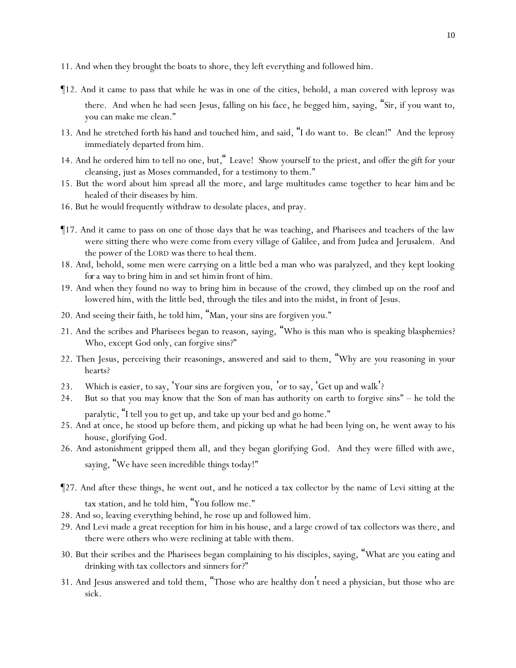- 11. And when they brought the boats to shore, they left everything and followed him.
- ¶12. And it came to pass that while he was in one of the cities, behold, a man covered with leprosy was there. And when he had seen Jesus, falling on his face, he begged him, saying, "Sir, if you want to, you can make me clean."
- 13. And he stretched forth *his* hand and touched him, and said, "I do want to. Be clean!" And the leprosy immediately departed from him.
- 14. And he ordered him to tell no one, but*,*" Leave! Show yourself to the priest, and offer *the gift* for your cleansing, just as Moses commanded, for a testimony to them."
- 15. But the word about him spread all the more, and large multitudes came together to hear *him* and be healed of their diseases by him.
- 16. But he would frequently withdraw to desolate places, and pray.
- ¶17. And it came to pass on one of those days that he was teaching, and Pharisees and teachers of the law were sitting there who were come from every village of Galilee, and from Judea and Jerusalem. And the power of the LORD was there to heal them.
- 18. And, behold, some men were carrying on a little bed a man who was paralyzed, and they kept looking *for a way* to bring him in and set *him*in front of him.
- 19. And when they found no way to bring him in because of the crowd, they climbed up on the roof and lowered him, with the little bed, through the tiles and into the midst, in front of Jesus.
- 20. And seeing their faith, he told him, "Man, your sins are forgiven you."
- 21. And the scribes and Pharisees began to reason, saying, "Who is this man who is speaking blasphemies? Who, except God only, can forgive sins?"
- 22. Then Jesus, perceiving their reasonings, answered and said to them, "Why are *y*ou reasoning in *y*our hearts?
- 23. Which is easier, to say, 'Your sins are forgiven you, 'or to say, 'Get up and walk'?
- 24. But so that *y*ou may know that the Son of man has authority on earth to forgive sins" he told the paralytic, "I tell you to get up, and take up your bed and go home."
- 25. And at once, he stood up before them, and picking up what he had been lying on, he went away to his house, glorifying God.
- 26. And astonishment gripped them all, and they began glorifying God. And they were filled with awe, saying, "We have seen incredible things today!"
- ¶27. And after these things, he went out, and he noticed a tax collector by the name of Levi sitting at the tax station, and he told him, "You follow me."
- 28. And so, leaving everything behind, he rose up and followed him.
- 29. And Levi made a great reception for him in his house, and a large crowd of tax collectors was there, and there were others who were reclining at table with them.
- 30. But their scribes and the Pharisees began complaining to his disciples, saying, "What are *y*ou eating and drinking with tax collectors and sinners for?"
- 31. And Jesus answered and told them, "Those who are healthy don't need a physician, but those who are sick.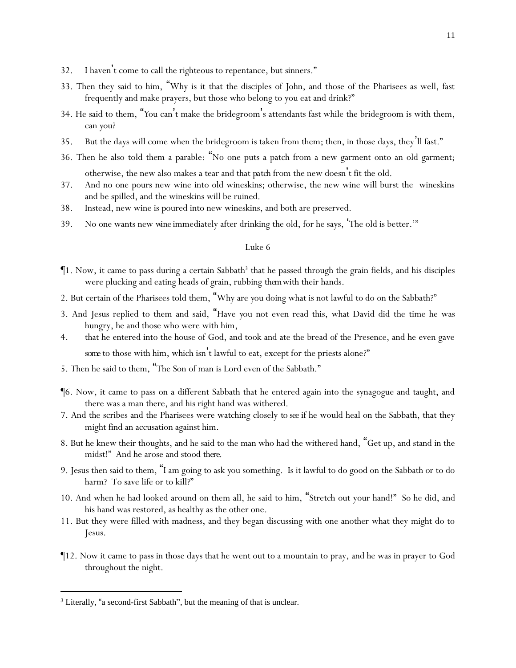- 32. I haven't come to call the righteous to repentance, but sinners."
- 33. Then they said to him, "Why is it that the disciples of John, and those of the Pharisees as well, fast frequently and make prayers, but those who belong to you eat and drink?"
- 34. He said to them, "*Y*ou can't make the bridegroom 's attendants fast while the bridegroom is with them, can *y*ou?
- 35. But the days will come when the bridegroom is taken from them; then, in those days, they'll fast."
- 36. Then he also told them a parable: "No one puts a patch from a new garment onto an old garment; otherwise, the new also makes a tear and that *patch* from the new doesn't fit the old.
- 37. And no one pours new wine into old wineskins; otherwise, the new wine will burst the wineskins and be spilled, and the wineskins will be ruined.
- 38. Instead, new wine is poured into new wineskins, and both are preserved.
- 39. No one wants new *wine* immediately after drinking the old, for he says, 'The old is better.'"

- ¶1. Now, it came to pass during a certain Sabbath<sup>3</sup> that he passed through the grain fields, and his disciples were plucking and eating heads of grain, rubbing *them*with their hands.
- 2. But certain of the Pharisees told them, "Why are *y*ou doing what is not lawful to do on the Sabbath?"
- 3. And Jesus replied to them and said, "Have *y*ou not even read this, what David did the time he was hungry, he and those who were with him,
- 4. that he entered into the house of God, and took and ate the bread of the Presence, and he even gave some to those with him, which isn't lawful to eat, except for the priests alone?"
- 5. Then he said to them, "The Son of man is Lord even of the Sabbath."
- ¶6. Now, it came to pass on a different Sabbath that he entered again into the synagogue and taught, and there was a man there, and his right hand was withered.
- 7. And the scribes and the Pharisees were watching closely *to see* if he would heal on the Sabbath, that they might find an accusation against him.
- 8. But he knew their thoughts, and he said to the man who had the withered hand, "Get up, and stand in the midst!" And he arose and stood *there*.
- 9. Jesus then said to them, "I am going to ask *y*ou something. Is it lawful to do good on the Sabbath or to do harm? To save life or to kill?"
- 10. And when he had looked around on them all, he said to him, "Stretch out your hand!" So he did, and his hand was restored, as healthy as the other one.
- 11. But they were filled with madness, and they began discussing with one another what they might do to Jesus.
- ¶12. Now it came to pass in those days that he went out to a mountain to pray, and he was in prayer to God throughout the night.

<sup>&</sup>lt;sup>3</sup> Literally, "a second-first Sabbath", but the meaning of that is unclear.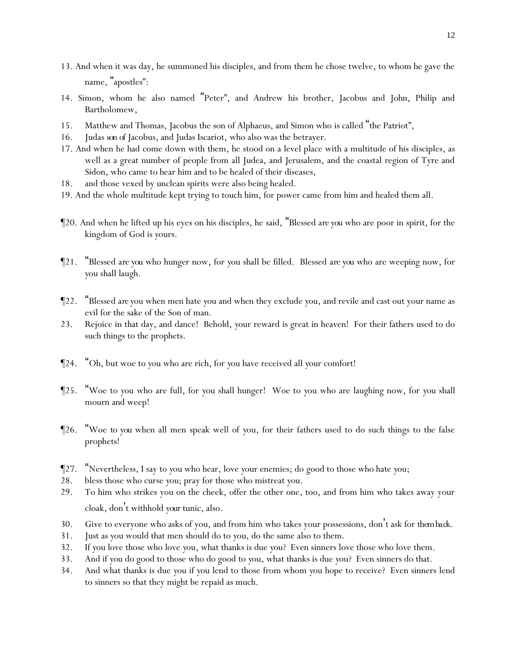- 13. And when it was day, he summoned his disciples, and from them he chose twelve, to whom he gave the name, "apostles":
- 14. Simon, whom he also named "Peter", and Andrew his brother, Jacobus and John, Philip and Bartholomew,
- 15. Matthew and Thomas, Jacobus the son of Alphaeus, and Simon who is called "the Patriot",
- 16. Judas *son of* Jacobus, and Judas Iscariot, who also was the betrayer.
- 17. And when he had come down with them, he stood on a level place with a multitude of his disciples, as well as a great number of people from all Judea, and Jerusalem, and the coastal region of Tyre and Sidon, who came to hear him and to be healed of their diseases,
- 18. and those vexed by unclean spirits were also being healed.
- 19. And the whole multitude kept trying to touch him, for power came from him and healed them all.
- ¶20. And when he lifted up his eyes on his disciples, he said, "Blessed *are you* who are poor in spirit, for the kingdom of God is *y*ours.
- ¶21. "Blessed *are you* who hunger now, for *y*ou shall be filled. Blessed *are you* who are weeping now, for *y*ou shall laugh.
- ¶22. "Blessed *are y*ou when men hate *y*ou and when they exclude *y*ou, and revile and cast out your name as evil for the sake of the Son of man.
- 23. Rejoice in that day, and dance! Behold, *y*our reward is great in heaven! For their fathers used to do such things to the prophets.
- ¶24. "Oh, but woe to *y*ou who are rich, for *y*ou have received all *y*our comfort!
- ¶25. "Woe to *y*ou who are full, for *y*ou shall hunger! Woe to *y*ou who are laughing now, for *y*ou shall mourn and weep!
- ¶26. "Woe *to you* when all men speak well of *y*ou, for their fathers used to do such things to the false prophets!
- ¶27. "Nevertheless, I say to *y*ou who hear, love *y*our enemies; do good to those who hate *y*ou;
- 28. bless those who curse *y*ou; pray for those who mistreat *y*ou.
- 29. To him who strikes you on the cheek, offer the other one, too, and from him who takes away your cloak, don't withhold *your*tunic, also.
- 30. Give to everyone who asks of you, and from him who takes your possessions, don't ask for *them back.*
- 31. Just as *y*ou would that men should do to *y*ou, do the same also to them.
- 32. If *y*ou love those who love *y*ou, what thanks is due *y*ou? Even sinners love those who love them.
- 33. And if *y*ou do good to those who do good to *y*ou, what thanks is due *y*ou? Even sinners do that.
- 34. And what thanks is due *y*ou if *y*ou lend to those from whom *y*ou hope to receive? Even sinners lend to sinners so that they might be repaid as much.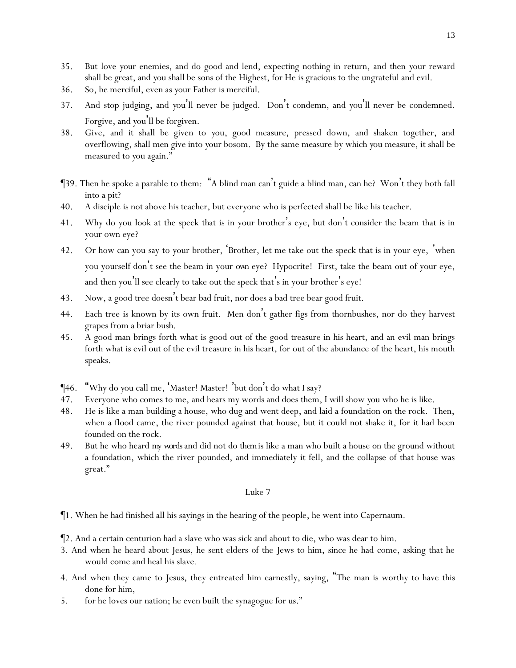- 35. But love *y*our enemies, and do good and lend, expecting nothing in return, and then *y*our reward shall be great, and *y*ou shall be sons of the Highest, for He is gracious to the ungrateful and evil.
- 36. So, be merciful, even as *y*our Father is merciful.
- 37. And stop judging, and *y*ou 'll never be judged. Don't condemn, and *y*ou'll never be condemned. Forgive, and *y*ou'll be forgiven.
- 38. Give, and it shall be given to *y*ou, good measure, pressed down, and shaken together, and overflowing, shall men give into *y*our bosom. By the same measure by which *y*ou measure, it shall be measured to *y*ou again."
- ¶39. Then he spoke a parable to them: "A blind man can't guide a blind man, can he? Won't they both fall into a pit?
- 40. A disciple is not above his teacher, but everyone who is perfected shall be like his teacher.
- 41. Why do you look at the speck that is in your brother 's eye, but don't consider the beam that is in your own eye?
- 42. Or how can you say to your brother, 'Brother, let me take out the speck that is in your eye, 'when you yourself don't see the beam in your *own* eye? Hypocrite! First, take the beam out of your eye, and then you'll see clearly to take out the speck that's in your brother's eye!
- 43. Now, a good tree doesn't bear bad fruit, nor does a bad tree bear good fruit.
- 44. Each tree is known by its own fruit. Men don't gather figs from thornbushes, nor do they harvest grapes from a briar bush.
- 45. A good man brings forth what is good out of the good treasure in his heart, and an evil man brings forth what is evil out of the evil treasure in his heart, for out of the abundance of the heart, his mouth speaks.
- ¶46. "Why do *y*ou call me, 'Master! Master! 'but don't do what I say?
- 47. Everyone who comes to me, and hears my words and does them, I will show *y*ou who he is like.
- 48. He is like a man building a house, who dug and went deep, and laid a foundation on the rock. Then, when a flood came, the river pounded against that house, but it could not shake it, for it had been founded on the rock.
- 49. But he who heard *my words*and did not do *them*is like a man who built a house on the ground without a foundation, which the river pounded, and immediately it fell, and the collapse of that house was great."

- ¶1. When he had finished all his sayings in the hearing of the people, he went into Capernaum.
- ¶2. And a certain centurion had a slave who was sick and about to die, who was dear to him.
- 3. And when he heard about Jesus, he sent elders of the Jews to him, since he had come, asking that he would come and heal his slave.
- 4. And when they came to Jesus, they entreated him earnestly, saying, "The man is worthy to have this done for him,
- 5. for he loves our nation; he even built the synagogue for us."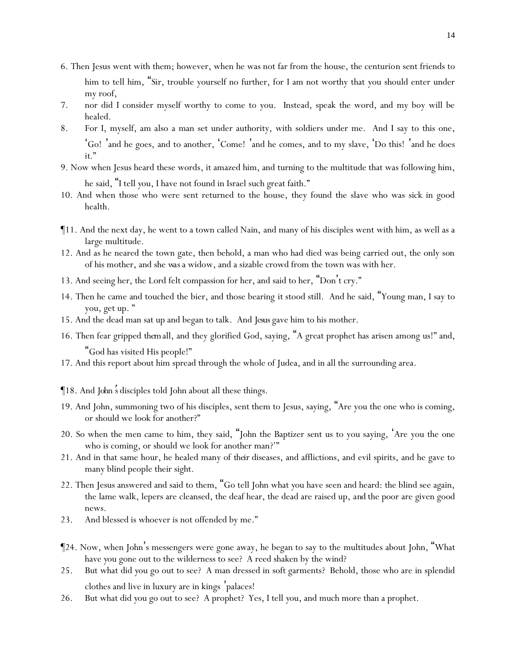- 6. Then Jesus went with them; however, when he was not far from the house, the centurion sent friends to him to tell him, "Sir, trouble yourself no further, for I am not worthy that you should enter under my roof,
- 7. nor did I consider myself worthy to come to you. Instead, speak the word, and my boy will be healed.
- 8. For I, myself, am also a man set under authority, with soldiers under me. And I say to this one, 'Go! 'and he goes, and to another, 'Come! 'and he comes, and to my slave, 'Do this! 'and he does *it*."
- 9. Now when Jesus heard these words, it amazed him, and turning to the multitude that was following him, he said, "I tell *y*ou, I have not found in Israel such great faith."
- 10. And when those who were sent returned to the house, they found the slave who was sick in good health.
- ¶11. And the next day, he went to a town called Nain, and many of his disciples went with him, as well as a large multitude.
- 12. And as he neared the town gate, then behold, a man who had died was being carried out, the only son of his mother, and she *was*a widow, and a sizable crowd from the town was with her.
- 13. And seeing her, the Lord felt compassion for her, and said to her, "Don't cry."
- 14. Then he came and touched the bier, and those bearing *it* stood still. And he said, "Young man, I say to you, get up. "
- 15. And the dead man sat up and began to talk. And *Jesus* gave him to his mother.
- 16. Then fear gripped *them*all, and they glorified God, saying, "A great prophet has arisen among us!" and, "God has visited His people!"
- 17. And this report about him spread through the whole of Judea, and in all the surrounding area.
- ¶18. And *John*'*s* disciples told John about all these things.
- 19. And John, summoning two of his disciples, sent them to Jesus, saying, "Are you the one who is coming, or should we look for another?"
- 20. So when the men came to him, they said, "John the Baptizer sent us to you saying, 'Are you the one who is coming, or should we look for another man?'"
- 21. And in that same hour, he healed many of *their* diseases, and afflictions, and evil spirits, and he gave to many blind people their sight.
- 22. Then Jesus answered and said to them, "Go tell John what *y*ou have seen and heard: the blind see again, the lame walk, lepers are cleansed, the deaf hear, the dead are raised up, *and* the poor are given good news*.*
- 23. And blessed is whoever is not offended by me."
- ¶24. Now, when John's messengers were gone away, he began to say to the multitudes about John, "What have *y*ou gone out to the wilderness to see? A reed shaken by the wind?
- 25. But what did *y*ou go out to see? A man dressed in soft garments? Behold, those who are in splendid clothes and live in luxury are in kings 'palaces!
- 26. But what did *y*ou go out to see? A prophet? Yes, I tell *y*ou, and much more than a prophet.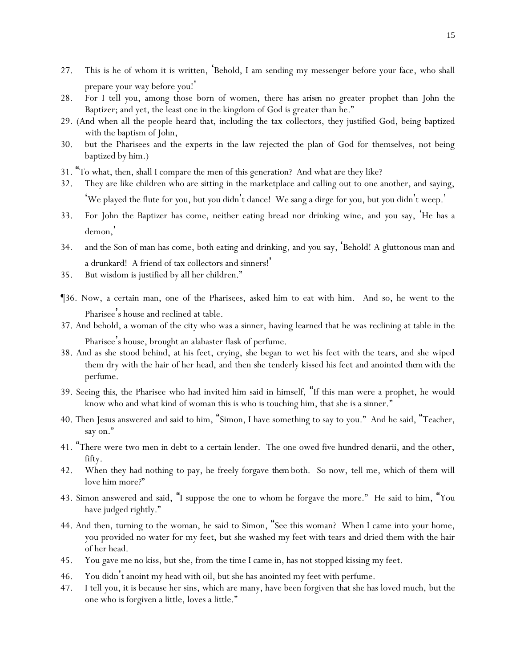- 27. This is he of whom it is written, 'Behold, I am sending my messenger before your face, who shall prepare your way before you!'
- 28. For I tell *y*ou, among those born of women, there *has arisen* no greater prophet than John the Baptizer; and yet, the least one in the kingdom of God is greater than he."
- 29. (And when all the people heard *that*, including the tax collectors, they justified God, being baptized with the baptism of John,
- 30. but the Pharisees and the experts in the law rejected the plan of God for themselves, not being baptized by him.)
- 31. "To what, then, shall I compare the men of this generation? And what are they like?
- 32. They are like children who are sitting in the marketplace and calling out to one another, and saying, 'We played the flute for *y*ou, but *y*ou didn't dance! We sang a dirge for *y*ou, but *y*ou didn't weep. '
- 33. For John the Baptizer has come, neither eating bread nor drinking wine, and *y*ou say, 'He has a demon, '
- 34. *and* the Son of man has come, both eating and drinking, and *y*ou say, 'Behold! A gluttonous man and a drunkard! A friend of tax collectors and sinners! '
- 35. But wisdom is justified by all her children."
- ¶36. Now, a certain man, one of the Pharisees, asked him to eat with him. And so, he went to the Pharisee's house and reclined at table.
- 37. And behold, a woman of the city who was a sinner, having learned that he was reclining at table in the Pharisee's house, brought an alabaster flask of perfume.
- 38. And as she stood behind, at his feet, crying, she began to wet his feet with the tears, and she wiped them dry with the hair of her head, and then she tenderly kissed his feet and anointed *them*with the perfume.
- 39. Seeing *this*, the Pharisee who had invited him said in himself, "If this man were a prophet, he would know who and what kind of woman this is who is touching him, that she is a sinner."
- 40. Then Jesus answered and said to him, "Simon, I have something to say to you." And he said, "Teacher, say on."
- 41. "There were two men in debt to a certain lender. The one owed five hundred denarii, and the other, fifty.
- 42. When they had nothing to pay, he freely forgave *them* both. So now, tell me, which of them will love him more?"
- 43. Simon answered and said, "I suppose the one to whom he forgave the more." He said to him, "You have judged rightly."
- 44. And then, turning to the woman, he said to Simon, "See this woman? When I came into your home, you provided no water for my feet, but she washed my feet with tears and dried them with the hair of her head.
- 45. You gave me no kiss, but she, from the time I came in, has not stopped kissing my feet.
- 46. You didn't anoint my head with oil, but she has anointed my feet with perfume.
- 47. I tell you, it is because her sins, which are many, have been forgiven that she has loved much, but the one who is forgiven a little, loves a little."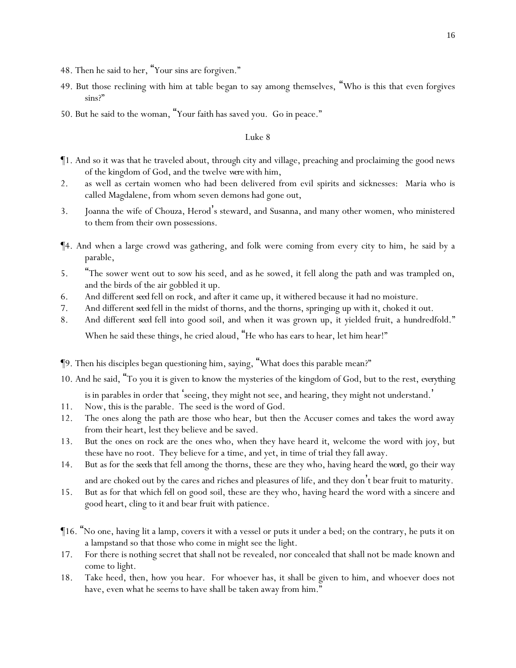- 48. Then he said to her, "Your sins are forgiven."
- 49. But those reclining with him at table began to say among themselves, "Who is this that even forgives sins?"
- 50. But he said to the woman, "Your faith has saved you. Go in peace."

- ¶1. And so it was that he traveled about, through city and village, preaching and proclaiming the good news of the kingdom of God, and the twelve *were*with him,
- 2. as well as certain women who had been delivered from evil spirits and sicknesses: Maria who is called Magdalene, from whom seven demons had gone out,
- 3. Joanna the wife of Chouza, Herod's steward, and Susanna, and many other women, who ministered to them from their own possessions.
- ¶4. And when a large crowd was gathering, and folk were coming from every city to him, he said by a parable,
- 5. "The sower went out to sow his seed, and as he sowed, it fell along the path and was trampled on, and the birds of the air gobbled it up.
- 6. And different *seed* fell on rock, and after it came up, it withered because it had no moisture.
- 7. And different *seed* fell in the midst of thorns, and the thorns, springing up with it, choked it out.
- 8. And different *seed* fell into good soil, and when it was grown up, it yielded fruit, a hundredfold."

When he said these things, he cried aloud, "He who has ears to hear, let him hear!"

- ¶9. Then his disciples began questioning him, saying, "What does this parable mean?"
- 10. And he said, "To *y*ou it is given to know the mysteries of the kingdom of God, but to the rest, *everything*  is in parables in order that seeing, they might not see, and hearing, they might not understand.
- 11. Now, this is the parable. The seed is the word of God.
- 12. The ones along the path are those who hear, but then the Accuser comes and takes the word away from their heart, lest they believe and be saved.
- 13. But the ones on rock are the ones who, when they have heard *it*, welcome the word with joy, but these have no root. They believe for a time, and yet, in time of trial they fall away.
- 14. But as for the *seeds* that fell among the thorns, these are they who, having heard *the word*, go their way and are choked out by the cares and riches and pleasures of life, and they don't bear fruit to maturity.
- 15. But as for that which *fell* on good soil, these are they who, having heard the word with a sincere and good heart, cling to *it* and bear fruit with patience.
- ¶16. "No one, having lit a lamp, covers it with a vessel or puts it under a bed; on the contrary, he puts it on a lampstand so that those who come in might see the light.
- 17. For there is nothing secret that shall not be revealed, nor concealed that shall not be made known and come to light.
- 18. Take heed, then, how *y*ou hear. For whoever has, it shall be given to him, and whoever does not have, even what he seems to have shall be taken away from him."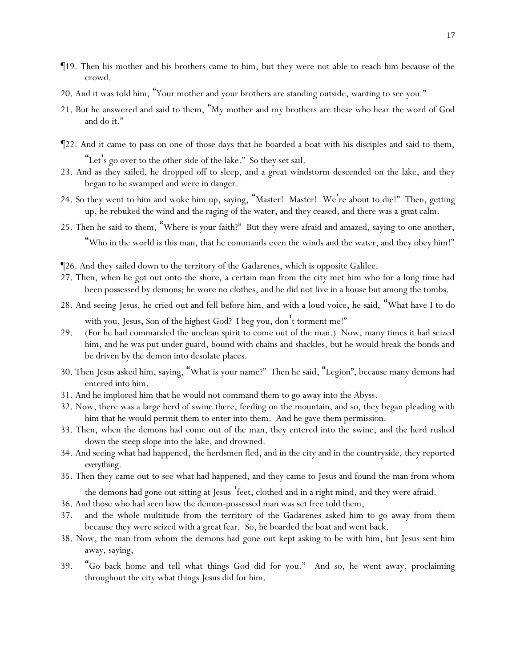- ¶19. Then his mother and his brothers came to him, but they were not able to reach him because of the crowd.
- 20. And it was told him, "Your mother and your brothers are standing outside, wanting to see you."
- 21. But he answered and said to them, "My mother and my brothers are these who hear the word of God and do it."
- ¶22. And it came to pass on one of those days that he boarded a boat with his disciples and said to them, "Let's go over to the other side of the lake." So they set sail.
- 23. And as they sailed, he dropped off to sleep, and a great windstorm descended on the lake, and they began to be swamped and were in danger.
- 24. So they went to him and woke him up, saying, "Master! Master! We're about to die!" Then, getting up, he rebuked the wind and the raging of the water, and they ceased, and there was a *great*calm.
- 25. Then he said to them, "Where is *y*our faith?" But they were afraid and amazed, saying to one another, "Who in the world is this man, that he commands even the winds and the water, and they obey him!"
- ¶26. And they sailed down to the territory of the Gadarenes, which is opposite Galilee.
- 27. Then, when he got out onto the shore, a certain man from the city met him who for a long time had been possessed by demons; he wore no clothes, and he did not live in a house but among the tombs.
- 28. And seeing Jesus, he cried out and fell before him, and with a loud voice, he said, "What have I to do
- with you, Jesus, Son of the highest God? I beg you, don't torment me!" 29. (For he had commanded the unclean spirit to come out of the man.) Now, many times it had seized
- him, and he was put under guard, bound with chains and shackles, but he would break the bonds and be driven by the demon into desolate places.
- 30. Then Jesus asked him, saying, "What is your name?" Then he said, "Legion", because many demons had entered into him.
- 31. And he implored him that he would not command them to go away into the Abyss.
- 32. Now, there was a large herd of swine there, feeding on the mountain, and so, they began pleading with him that he would permit them to enter into them. And he gave them permission.
- 33. Then, when the demons had come out of the man, they entered into the swine, and the herd rushed down the steep slope into the lake, and drowned.
- 34. And seeing what had happened, the herdsmen fled, and in the city and in the countryside, they reported *everything*.
- 35. Then they came out to see what had happened, and they came to Jesus and found the man from whom

the demons had gone out sitting at Jesus 'feet, clothed and in a right mind, and they were afraid.

- 36. And those who had seen how the demon-possessed man was set free told them,
- 37. and the whole multitude from the territory of the Gadarenes asked him to go away from them because they were seized with a great fear. So, he boarded the boat and went back.
- 38. Now, the man from whom the demons had gone out kept asking to be with him, but Jesus sent him away, saying,
- 39. "Go back home and tell what things God did for you." And so, he went away, proclaiming throughout the city what things Jesus did for him.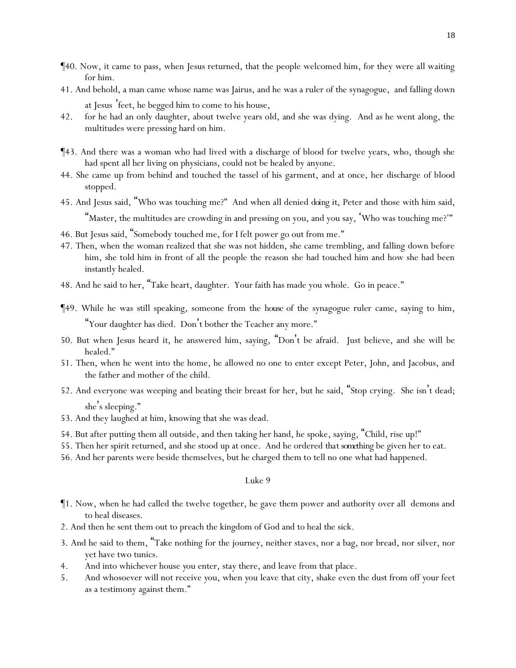- ¶40. Now, it came to pass, when Jesus returned, that the people welcomed him, for they were all waiting for him.
- 41. And behold, a man came whose name was Jairus, and he was a ruler of the synagogue, and falling down at Jesus 'feet, he begged him to come to his house,
- 42. for he had an only daughter, about twelve years old, and she was dying. And as he went along, the multitudes were pressing hard on him.
- ¶43. And there was a woman who had lived with a discharge of blood for twelve years, who, though she had spent all her living on physicians, could not be healed by anyone.
- 44. She came up from behind and touched the tassel of his garment, and at once, her discharge of blood stopped.
- 45. And Jesus said, "Who was touching me?" And when all denied *doing it*, Peter and those with him said, "Master, the multitudes are crowding in and pressing on you, and you say, 'Who was touching me?'"
- 46. But Jesus said, "Somebody touched me, for I felt power go out from me."
- 47. Then, when the woman realized that she was not hidden, she came trembling, and falling down before him, she told him in front of all the people the reason she had touched him and how she had been instantly healed.
- 48. And he said to her, "Take heart, daughter. Your faith has made you whole. Go in peace."
- ¶49. While he was still speaking, someone from the *house* of the synagogue ruler came, saying to him, "Your daughter has died. Don't bother the Teacher any more."
- 50. But when Jesus heard *it*, he answered him, saying, "Don't be afraid. Just believe, and she will be healed."
- 51. Then, when he went into the home, he allowed no one to enter except Peter, John, and Jacobus, and the father and mother of the child.
- 52. And everyone was weeping and beating their breast for her, but he said, "Stop crying. She isn't dead; she's sleeping."
- 53. And they laughed at him, knowing that she was dead.
- 54. But after putting them all outside, and then taking her hand, he spoke, saying, "Child, rise up!"
- 55. Then her spirit returned, and she stood up at once. And he ordered *that something* be given her to eat.
- 56. And her parents were beside themselves, but he charged them to tell no one what had happened.

- ¶1. Now, when he had called the twelve together, he gave them power and authority over all demons and to heal diseases.
- 2. And then he sent them out to preach the kingdom of God and to heal the sick.
- 3. And he said to them, "Take nothing for the journey, neither staves, nor a bag, nor bread, nor silver, nor yet have two tunics.
- 4. And into whichever house *y*ou enter, stay there, and leave from that place.
- 5. And whosoever will not receive *y*ou, when *y*ou leave that city, shake even the dust from off *y*our feet as a testimony against them."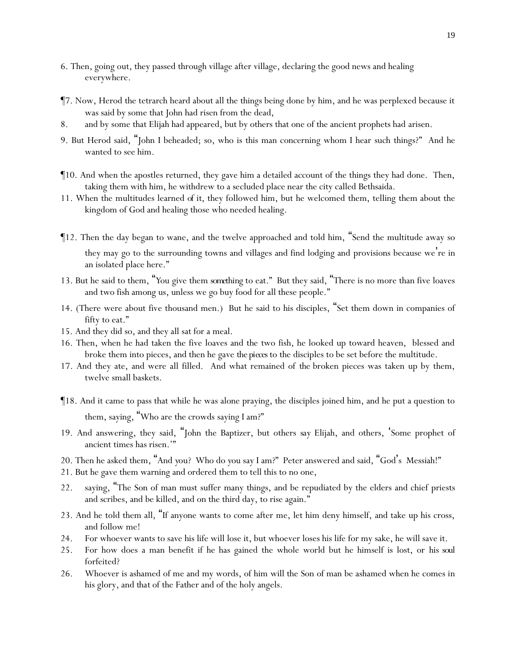- 6. Then, going out, they passed through village after village, declaring the good news and healing everywhere.
- ¶7. Now, Herod the tetrarch heard about all the things being done by him, and he was perplexed because it was said by some that John had risen from the dead,
- 8. and by some that Elijah had appeared, but by others that one of the ancient prophets had arisen.
- 9. But Herod said, "John I beheaded; so, who is this man concerning whom I hear such things?" And he wanted to see him.
- ¶10. And when the apostles returned, they gave him a detailed account of the things they had done. Then, taking them with him, he withdrew to a secluded place near the city called Bethsaida.
- 11. When the multitudes learned *of it*, they followed him, but he welcomed them, telling them about the kingdom of God and healing those who needed healing.
- ¶12. Then the day began to wane, and the twelve approached and told him, "Send the multitude away so they may go to the surrounding towns and villages and find lodging and provisions because we're in an isolated place here."
- 13. But he said to them, "*Y*ou give them *something* to eat." But they said, "There is no more than five loaves and two fish among us, unless we go buy food for all these people."
- 14. (There were about five thousand men.) But he said to his disciples, "Set them down in companies of fifty to eat."
- 15. And they did so, and they all sat for a meal.
- 16. Then, when he had taken the five loaves and the two fish, he looked up toward heaven, blessed and broke them into pieces, and then he gave *the pieces* to the disciples to be set before the multitude.
- 17. And they ate, and were all filled. And what remained of *the* broken pieces was taken up by them, twelve small baskets.
- ¶18. And it came to pass that while he was alone praying, the disciples joined him, and he put a question to them, saying, "Who are the crowds saying I am?"
- 19. And answering, they said, "John the Baptizer, but others *say* Elijah, and others, 'Some prophet of ancient times has risen.'"
- 20. Then he asked them, "And *y*ou? Who do *y*ou say I am?" Peter answered and said, "God's Messiah!"
- 21. But he gave them warning and ordered them to tell this to no one,
- 22. saying, "The Son of man must suffer many things, and be repudiated by the elders and chief priests and scribes, and be killed, and on the third day, to rise again."
- 23. And he told them all, "If anyone wants to come after me, let him deny himself, and take up his cross, and follow me!
- 24. For whoever wants to save his life will lose it, but whoever loses his life for my sake, he will save it.
- 25. For how does a man benefit if he has gained the whole world but he himself is lost, or *his soul* forfeited?
- 26. Whoever is ashamed of me and my words, of him will the Son of man be ashamed when he comes in his glory, and *that* of the Father and of the holy angels.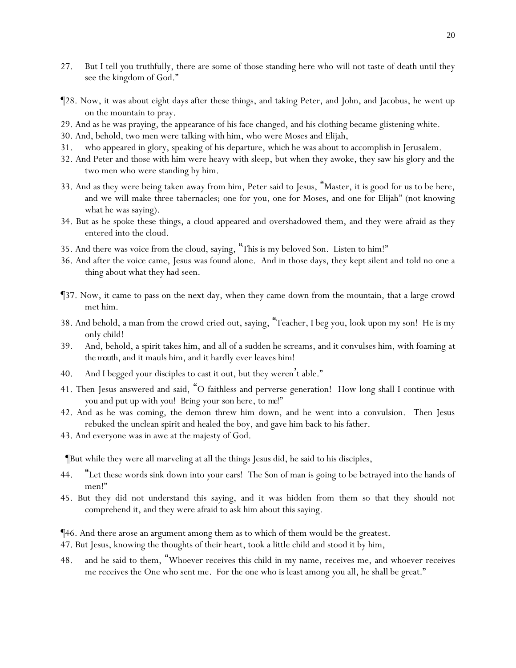- 27. But I tell *y*ou truthfully, there are some of those standing here who will not taste of death until they see the kingdom of God."
- ¶28. Now, it was about eight days after these things, and taking Peter, and John, and Jacobus, he went up on the mountain to pray.
- 29. And as he was praying, the appearance of his face changed, and his clothing became glistening white.
- 30. And, behold, two men were talking with him, who were Moses and Elijah,
- 31. who appeared in glory, speaking of his departure, which he was about to accomplish in Jerusalem.
- 32. And Peter and those with him were heavy with sleep, but when they awoke, they saw his glory and the two men who were standing by him.
- 33. And as they were being taken away from him, Peter said to Jesus, "Master, it is good for us to be here, and we will make three tabernacles; one for you, one for Moses, and one for Elijah" (not knowing what he was saying).
- 34. But as he spoke these things, a cloud appeared and overshadowed them, and they were afraid as they entered into the cloud.
- 35. And there was voice from the cloud, saying, "This is my beloved Son. Listen to him!"
- 36. And after the voice came, Jesus was found alone. And in those days, they kept silent and told no one a thing about what they had seen.
- ¶37. Now, it came to pass on the next day, when they came down from the mountain, that a large crowd met him.
- 38. And behold, a man from the crowd cried out, saying, "Teacher, I beg you, look upon my son! He is my only child!
- 39. And, behold, a spirit takes him, and all of a sudden he screams, and it convulses him, with foaming *at the mouth,* and it mauls him, and it hardly ever leaves him!
- 40. And I begged your disciples to cast it out, but they weren't able."
- 41. Then Jesus answered and said, "O faithless and perverse generation! How long shall I continue with *y*ou and put up with *y*ou! Bring your son here, to *me*!"
- 42. And as he was coming, the demon threw him down, and he went into a convulsion. Then Jesus rebuked the unclean spirit and healed the boy, and gave him back to his father.
- 43. And everyone was in awe at the majesty of God.

¶But while they were all marveling at all the things Jesus did, he said to his disciples,

- 44. "Let these words sink down into *y*our ears! The Son of man is going to be betrayed into the hands of men!"
- 45. But they did not understand this saying, and it was hidden from them so that they should not comprehend it, and they were afraid to ask him about this saying.

¶46. And there arose an argument among them as to which of them would be the greatest.

- 47. But Jesus, knowing the thoughts of their heart, took a little child and stood it by him,
- 48. and he said to them, "Whoever receives this child in my name, receives me, and whoever receives me receives the One who sent me. For the one who is least among *y*ou all, he shall be great."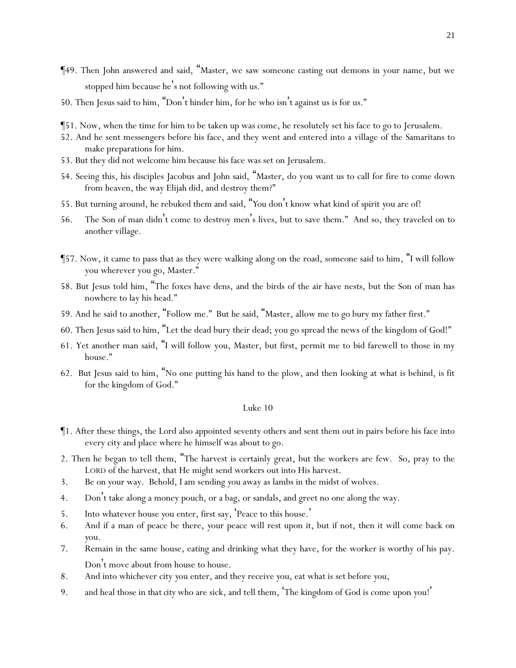- ¶49. Then John answered and said, "Master, we saw someone casting out demons in your name, but we stopped him because he's not following with us."
- 50. Then Jesus said to him, "Don't hinder him, for he who isn't against us is for us."
- ¶51. Now, when the time for him to be taken up was come, he resolutely set his face to go to Jerusalem.
- 52. And he sent messengers before his face, and they went and entered into a village of the Samaritans to make preparations for him.
- 53. But they did not welcome him because his face was set on Jerusalem.
- 54. Seeing this, his disciples Jacobus and John said, "Master, do you want us to call for fire to come down from heaven, the way Elijah did, and destroy them?"
- 55. But turning around, he rebuked them and said, "*Y*ou don't know what kind of spirit *y*ou are of!
- 56. The Son of man didn't come to destroy men's lives, but to save them." And so, they traveled on to another village.
- ¶57. Now, it came to pass that as they were walking along on the road, someone said to him, "I will follow you wherever you go, Master."
- 58. But Jesus told him, "The foxes have dens, and the birds of the air have nests, but the Son of man has nowhere to lay his head."
- 59. And he said to another, "Follow me." But he said, "Master, allow me to go bury my father first."
- 60. Then Jesus said to him, "Let the dead bury their dead; you go spread the news of the kingdom of God!"
- 61. Yet another man said, "I will follow you, Master, but first, permit me to bid farewell to those in my house."
- 62. But Jesus said to him, "No one putting his hand to the plow, and then looking at what is behind, is fit for the kingdom of God."

- ¶1. After these things, the Lord also appointed seventy others and sent them out in pairs before his face into every city and place where he himself was about to go.
- 2. Then he began to tell them, "The harvest is certainly great, but the workers are few. So, pray to the LORD of the harvest, that He might send workers out into His harvest.
- 3. Be on *y*our way. Behold, I am sending *y*ou away as lambs in the midst of wolves.
- 4. Don't take along a money pouch, or a bag, or sandals, and greet no one along the way.
- 5. Into whatever house *y*ou enter, first say, 'Peace to this house.'
- 6. And if a man of peace be there, *y*our peace will rest upon it, but if not, then it will come back on *y*ou.
- 7. Remain in the same house, eating and drinking what they have, for the worker is worthy of his pay. Don't move about from house to house.
- 8. And into whichever city *y*ou enter, and they receive *y*ou, eat what is set before *y*ou,
- 9. and heal those in *that city* who are sick, and tell them, 'The kingdom of God is come upon *y*ou! '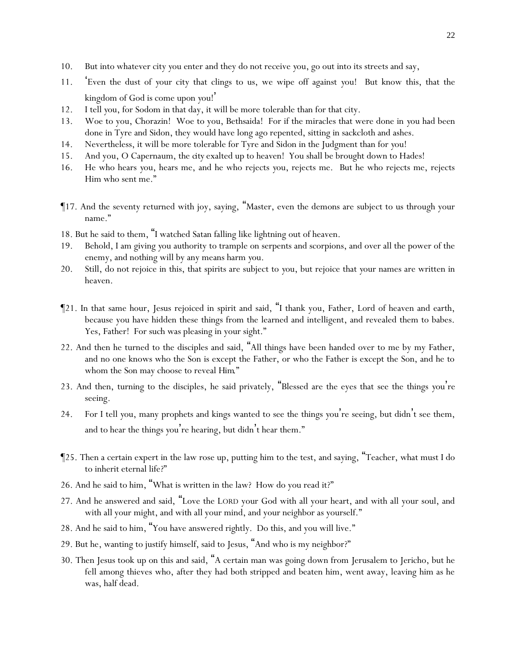- 10. But into whatever city *y*ou enter and they do not receive *y*ou, go out into its streets and say,
- 11. 'Even the dust of *y*our city that clings to us, we wipe off against *y*ou! But know this, that the kingdom of God is come upon *y*ou! '
- 12. I tell *y*ou, for Sodom in that day, it will be more tolerable than for that city.
- 13. Woe to you, Chorazin! Woe to you, Bethsaida! For if the miracles that were done in *y*ou had been done in Tyre and Sidon, they would have long ago repented, sitting in sackcloth and ashes.
- 14. Nevertheless, it will be more tolerable for Tyre and Sidon in the Judgment than for *y*ou!
- 15. And you, O Capernaum, the *city* exalted up to heaven! You shall be brought down to Hades!
- 16. He who hears *y*ou, hears me, and he who rejects *y*ou, rejects me. But he who rejects me, rejects Him who sent me."
- ¶17. And the seventy returned with joy, saying, "Master, even the demons are subject to us through your name."
- 18. But he said to them, "I watched Satan falling like lightning out of heaven.
- 19. Behold, I am giving *y*ou authority to trample on serpents and scorpions, and over all the power of the enemy, and nothing will by any means harm *y*ou.
- 20. Still, do not rejoice in this, that spirits are subject to *y*ou, but rejoice that *y*our names are written in heaven.
- ¶21. In that same hour, Jesus rejoiced in spirit and said, "I thank you, Father, Lord of heaven and earth, because you have hidden these things from the learned and intelligent, and revealed them to babes. Yes, Father! For such was pleasing in your sight."
- 22. And then he turned to the disciples and said, "All things have been handed over to me by my Father, and no one knows who the Son is except the Father, or who the Father is except the Son, and he to whom the Son may choose to reveal *Him*."
- 23. And then, turning to the disciples, he said privately, "Blessed are the eyes that see the things *y*ou're seeing.
- 24. For I tell *y*ou, many prophets and kings wanted to see the things *y*ou're seeing, but didn't see them, and to hear the things *y*ou're hearing, but didn't hear them."
- ¶25. Then a certain expert in the law rose up, putting him to the test, and saying, "Teacher, what must I do to inherit eternal life?"
- 26. And he said to him, "What is written in the law? How do you read it?"
- 27. And he answered and said, "Love the LORD your God with all your heart, and with all your soul, and with all your might, and with all your mind, and your neighbor as yourself."
- 28. And he said to him, "You have answered rightly. Do this, and you will live."
- 29. But he, wanting to justify himself, said to Jesus, "And who is my neighbor?"
- 30. Then Jesus took up on this and said, "A certain man was going down from Jerusalem to Jericho, but he fell among thieves who, after they had both stripped and beaten him, went away, leaving him as he was, half dead.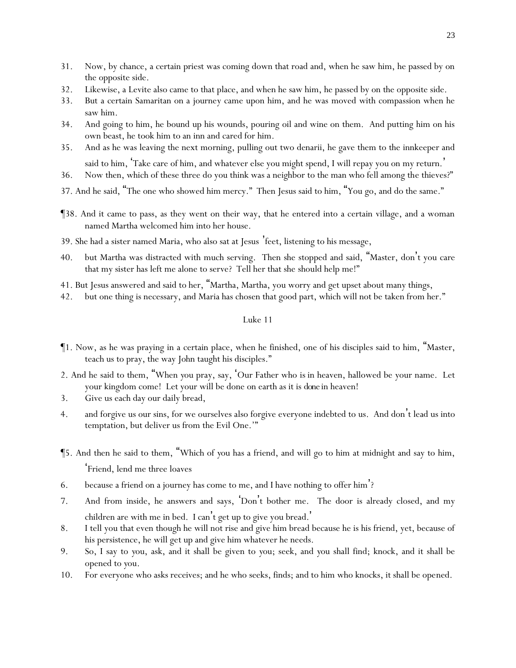- 31. Now, by chance, a certain priest was coming down that road and, when he saw him, he passed by on the opposite side.
- 32. Likewise, a Levite also came to that place, and when he saw him, he passed by on the opposite side.
- 33. But a certain Samaritan on a journey came upon him, and he was moved with compassion when he saw him.
- 34. And going to him, he bound up his wounds, pouring oil and wine on them. And putting him on his own beast, he took him to an inn and cared for him.
- 35. And as he was leaving the next morning, pulling out two denarii, he gave them to the innkeeper and said to him, Take care of him, and whatever else you might spend, I will repay you on my return.'
- 36. Now then, which of these three do you think was a neighbor to the man who fell among the thieves?"
- 37. And he said, "The one who showed him mercy." Then Jesus said to him, "You go, and do the same."
- ¶38. And it came to pass, as they went on their way, that he entered into a certain village, and a woman named Martha welcomed him into her house.
- 39. She had a sister named Maria, who also sat at Jesus 'feet, listening to his message,
- 40. but Martha was distracted with much serving. Then she stopped and said, "Master, don't you care that my sister has left me alone to serve? Tell her that she should help me!"
- 41. But Jesus answered and said to her, "Martha, Martha, you worry and get upset about many things,
- 42. but one thing is necessary, and Maria has chosen that good part, which will not be taken from her."

- ¶1. Now, as he was praying in a certain place, when he finished, one of his disciples said to him, "Master, teach us to pray, the way John taught his disciples."
- 2. And he said to them, "When *y*ou pray, say, 'Our Father who *is* in heaven, hallowed be your name. Let your kingdom come! Let your will be done on earth as it is *done* in heaven!
- 3. Give us each day our daily bread,
- 4. and forgive us our sins, for we ourselves also forgive everyone indebted to us. And don't lead us into temptation, but deliver us from the Evil One.'"
- ¶5. And then he said to them, "Which of *y*ou has a friend, and will go to him at midnight and say to him, 'Friend, lend me three loaves
- 6. because a friend on a journey has come to me, and I have nothing to offer him'?
- 7. And from inside, he answers and says, 'Don't bother me. The door is already closed, and my children are with me in bed. I can't get up to give you bread. '
- 8. I tell you that even though he will not rise and give him bread because he is his friend, yet, because of his persistence, he will get up and give him whatever he needs.
- 9. So, I say to *y*ou, ask, and it shall be given to *y*ou; seek, and *y*ou shall find; knock, and it shall be opened to *y*ou.
- 10. For everyone who asks receives; and he who seeks, finds; and to him who knocks, it shall be opened.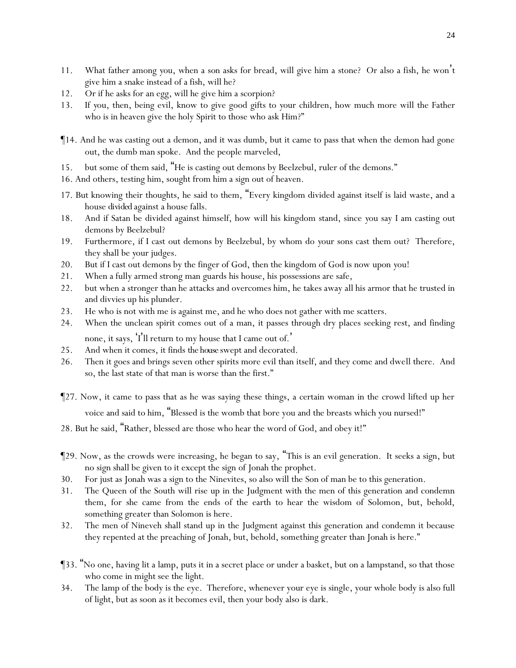- 11. What father among *y*ou, when a son asks for bread, will give him a stone? Or also a fish, he won't give him a snake instead of a fish, will he?
- 12. Or if he asks for an egg, will he give him a scorpion?
- 13. If *y*ou, then, being evil, know to give good gifts to *y*our children, how much more will the Father who is in heaven give the holy Spirit to those who ask Him?"
- ¶14. And he was casting out a demon, and it was dumb, but it came to pass that when the demon had gone out, the dumb man spoke. And the people marveled,
- 15. but some of them said, "He is casting out demons by Beelzebul, ruler of the demons."
- 16. And others, testing him, sought from him a sign out of heaven.
- 17. But knowing their thoughts, he said to them, "Every kingdom divided against itself is laid waste, and a house *divided* against a house falls.
- 18. And if Satan be divided against himself, how will his kingdom stand, since *y*ou say I am casting out demons by Beelzebul?
- 19. Furthermore, if I cast out demons by Beelzebul, by whom do *y*our sons cast them out? Therefore, they shall be *y*our judges.
- 20. But if I cast out demons by the finger of God, then the kingdom of God is now upon *y*ou!
- 21. When a fully armed strong man guards his house, his possessions are safe,
- 22. but when a stronger than he attacks and overcomes him, he takes away all his armor that he trusted in and divvies up his plunder.
- 23. He who is not with me is against me, and he who does not gather with me scatters.
- 24. When the unclean spirit comes out of a man, it passes through dry places seeking rest, and finding none, it says, 'I'll return to my house that I came out of.'
- 25. And when it comes, it finds *the house* swept and decorated.
- 26. Then it goes and brings seven other spirits more evil than itself, and they come and dwell there. And so, the last state of that man is worse than the first."
- ¶27. Now, it came to pass that as he was saying these things, a certain woman in the crowd lifted up her voice and said to him, "Blessed is the womb that bore you and the breasts which you nursed!"
- 28. But he said, "Rather, blessed are those who hear the word of God, and obey it!"
- ¶29. Now, as the crowds were increasing, he began to say, "This is an evil generation. It seeks a sign, but no sign shall be given to it except the sign of Jonah the prophet.
- 30. For just as Jonah was a sign to the Ninevites, so also will the Son of man be to this generation.
- 31. The Queen of the South will rise up in the Judgment with the men of this generation and condemn them, for she came from the ends of the earth to hear the wisdom of Solomon, but, behold, something greater than Solomon is here.
- 32. The men of Nineveh shall stand up in the Judgment against this generation and condemn it because they repented at the preaching of Jonah, but, behold, something greater than Jonah is here."
- ¶33. "No one, having lit a lamp, puts it in a secret place or under a basket, but on a lampstand, so that those who come in might see the light.
- 34. The lamp of the body is the eye. Therefore, whenever your eye is single, your whole body is also full of light, but as soon as it becomes evil, then your body also is dark.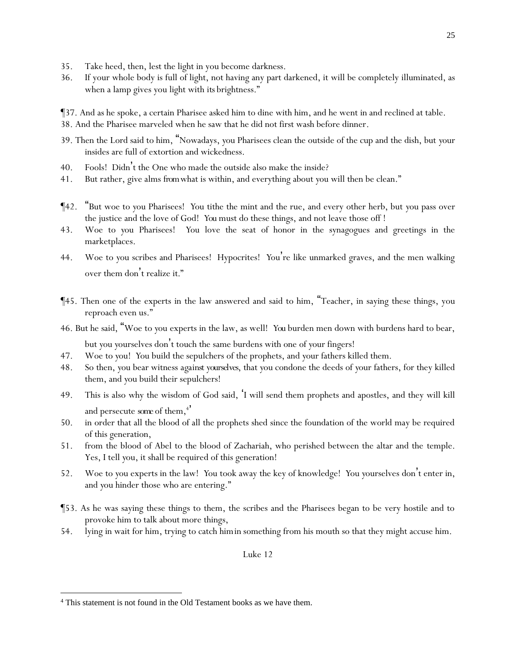- 35. Take heed, then, lest the light in you become darkness.
- 36. If your whole body is full of light, not having any part darkened, it will be completely illuminated, as when a lamp gives you light with *its* brightness."
- ¶37. And as he spoke, a certain Pharisee asked him to dine with him, and he went in and reclined at table.
- 38. And the Pharisee marveled when he saw that he did not first wash before dinner.
- 39. Then the Lord said to him, "Nowadays, *y*ou Pharisees clean the outside of the cup and the dish, but *y*our insides are full of extortion and wickedness.
- 40. Fools! Didn't the One who made the outside also make the inside?
- 41. But rather, give alms *from*what is within, and everything about *y*ou will then be clean."
- ¶42. "But woe to *y*ou Pharisees! *Y*ou tithe the mint and the rue, and every other herb, but *y*ou pass over the justice and the love of God! *You* must do these things, and not leave those off !
- 43. Woe to *y*ou Pharisees! *Y*ou love the seat of honor in the synagogues and greetings in the marketplaces.
- 44. Woe to *y*ou scribes and Pharisees! Hypocrites! *Y*ou're like unmarked graves, and the men walking over them don't realize *it.*"
- ¶45. Then one of the experts in the law answered and said to him, "Teacher, in saying these things, you reproach even us."
- 46. But he said, "Woe to *y*ou experts in the law, as well! *You* burden men down with burdens hard to bear, but *y*ou *y*ourselves don't touch the same burdens with one of *y*our fingers!
- 47. Woe to *y*ou! *Y*ou build the sepulchers of the prophets, and *y*our fathers killed them.
- 48. So then, *y*ou bear witness *against yourselves*, that *y*ou condone the deeds of *y*our fathers, for they killed them, and *y*ou build their sepulchers!
- 49. This is also why the wisdom of God said, 'I will send them prophets and apostles, and they will kill and persecute some of them,<sup>4</sup>
- 50. in order that all the blood of all the prophets shed since the foundation of the world may be required of this generation,
- 51. from the blood of Abel to the blood of Zachariah, who perished between the altar and the temple. Yes, I tell *y*ou, it shall be required of this generation!
- 52. Woe to *y*ou experts in the law! *Y*ou took away the key of knowledge! *Y*ou *y*ourselves don't enter in, and *y*ou hinder those who are entering."
- ¶53. As he was saying these things to them, the scribes and the Pharisees began to be very hostile and to provoke him to talk about more things,
- 54. lying in wait for him, trying to catch *him in* something from his mouth so that they might accuse him.

<sup>4</sup> This statement is not found in the Old Testament books as we have them.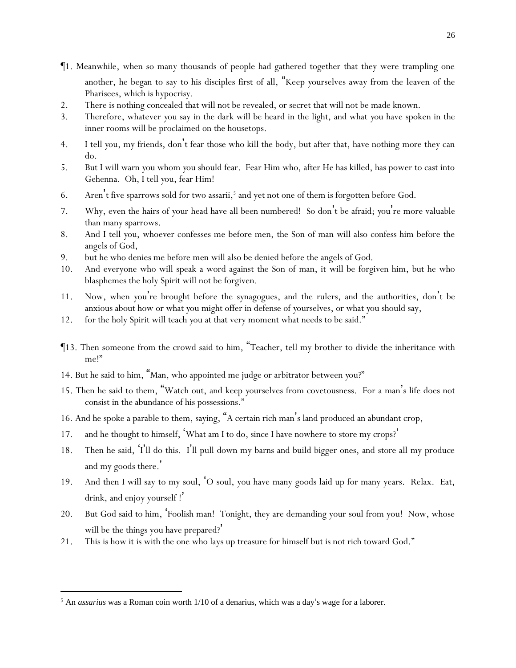- ¶1. Meanwhile, when so many thousands of people had gathered together that they were trampling one another, he began to say to his disciples first of all, "Keep *y*ourselves away from the leaven of the Pharisees, which is hypocrisy.
- 2. There is nothing concealed that will not be revealed, or secret that will not be made known.
- 3. Therefore, whatever *y*ou say in the dark will be heard in the light, and what *y*ou have spoken in the inner rooms will be proclaimed on the housetops.
- 4. I tell *y*ou, my friends, don't fear those who kill the body, but after that, have nothing more they can do.
- 5. But I will warn *y*ou whom *y*ou should fear. Fear Him who, after He has killed, has power to cast into Gehenna. Oh, I tell *y*ou, fear Him!
- 6. Aren't five sparrows sold for two assarii,<sup>5</sup> and yet not one of them is forgotten before God.
- 7. Why, even the hairs of *y*our head have all been numbered! So don't be afraid; *y*ou're more valuable than many sparrows.
- 8. And I tell *y*ou, whoever confesses me before men, the Son of man will also confess him before the angels of God,
- 9. but he who denies me before men will also be denied before the angels of God.
- 10. And everyone who will speak a word against the Son of man, it will be forgiven him, but he who blasphemes the holy Spirit will not be forgiven.
- 11. Now, when *y*ou're brought before the synagogues, and the rulers, and the authorities, don't be anxious about how or what *y*ou might offer in defense of *y*ourselves, or what *y*ou should say,
- 12. for the holy Spirit will teach *y*ou at that very moment what needs to be said."
- ¶13. Then someone from the crowd said to him, "Teacher, tell my brother to divide the inheritance with me!"
- 14. But he said to him, "Man, who appointed me judge or arbitrator between *y*ou?"
- 15. Then he said to them, "Watch out, and keep *y*ourselves from covetousness. For a man's life does not consist in the abundance of his possessions."
- 16. And he spoke a parable to them, saying, "A certain rich man's land produced an abundant crop,
- 17. and he thought to himself, 'What am I to do, since I have nowhere to store my crops? '
- 18. Then he said, 'I'll do this. I'll pull down my barns and build bigger ones, and store all my produce and my goods there. '
- 19. And then I will say to my soul, 'O soul, you have many goods laid up for many years. Relax. Eat, drink, and enjoy yourself !'
- 20. But God said to him, 'Foolish man! Tonight, they are demanding your soul from you! Now, whose will be the things you have prepared? '
- 21. This is how it is with the one who lays up treasure for himself but is not rich toward God."

<sup>5</sup> An *assarius* was a Roman coin worth 1/10 of a denarius, which was a day's wage for a laborer.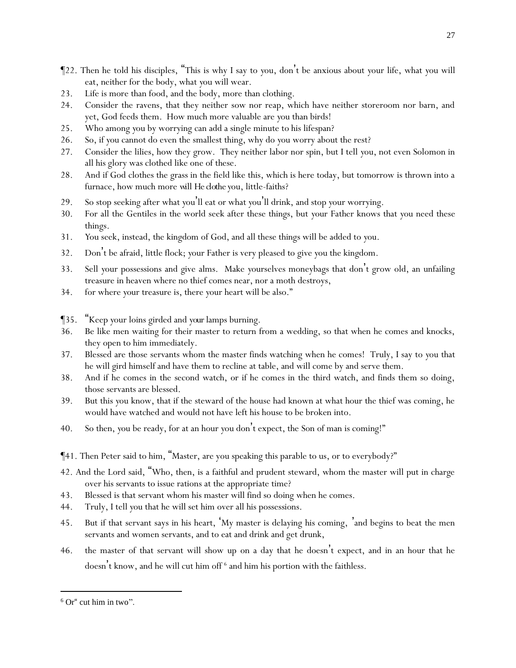- ¶22. Then he told his disciples, "This is why I say to *y*ou, don't be anxious about *y*our life, what *y*ou will eat, neither for the body, what *y*ou will wear.
- 23. Life is more than food, and the body, more than clothing.
- 24. Consider the ravens, that they neither sow nor reap, which have neither storeroom nor barn, and yet, God feeds them. How much more valuable are *y*ou than birds!
- 25. Who among *y*ou by worrying can add a single minute to his lifespan?
- 26. So, if *y*ou cannot do even the smallest thing, why do *y*ou worry about the rest?
- 27. Consider the lilies, how they grow. They neither labor nor spin, but I tell *y*ou, not even Solomon in all his glory was clothed like one of these.
- 28. And if God clothes the grass in the field like this, which is here today, but tomorrow is thrown into a furnace, how much more *will He clothe y*ou, little-faiths?
- 29. So stop seeking after what *y*ou'll eat or what *y*ou'll drink, and stop *y*our worrying.
- 30. For all the Gentiles in the world seek after these things, but *y*our Father knows that *y*ou need these things.
- 31. *Y*ou seek, instead, the kingdom of God, and all these things will be added to *y*ou.
- 32. Don't be afraid, little flock; *y*our Father is very pleased to give *y*ou the kingdom.
- 33. Sell *y*our possessions and give alms. Make *y*ourselves moneybags that don't grow old, an unfailing treasure in heaven where no thief comes near, nor a moth destroys,
- 34. for where *y*our treasure is, there *y*our heart will be also."

¶35. "Keep *y*our loins girded and *your*lamps burning.

- 36. Be like men waiting for their master to return from a wedding, so that when he comes and knocks, they open to him immediately.
- 37. Blessed are those servants whom the master finds watching when he comes! Truly, I say to *y*ou that he will gird himself and have them to recline at table, and will come by and serve them.
- 38. And if he comes in the second watch, or if he comes in the third watch, and finds them so doing, those servants are blessed.
- 39. But this *y*ou know, that if the steward of the house had known at what hour the thief was coming, he would have watched and would not have left his house to be broken into.
- 40. So then, *y*ou be ready, for at an hour *y*ou don't expect, the Son of man is coming!"
- ¶41. Then Peter said to him, "Master, are you speaking this parable to us, or to everybody?"
- 42. And the Lord said, "Who, then, is a faithful and prudent steward, whom the master will put in charge over his servants to issue rations at the appropriate time?
- 43. Blessed is that servant whom his master will find so doing when he comes.
- 44. Truly, I tell *y*ou that he will set him over all his possessions.
- 45. But if that servant says in his heart, 'My master is delaying his coming, 'and begins to beat the men servants and women servants, and to eat and drink and get drunk,
- 46. the master of that servant will show up on a day that he doesn't expect, and in an hour that he doesn't know, and he will cut him off  $^6$  and him his portion with the faithless.

27

 $6$  Or" cut him in two".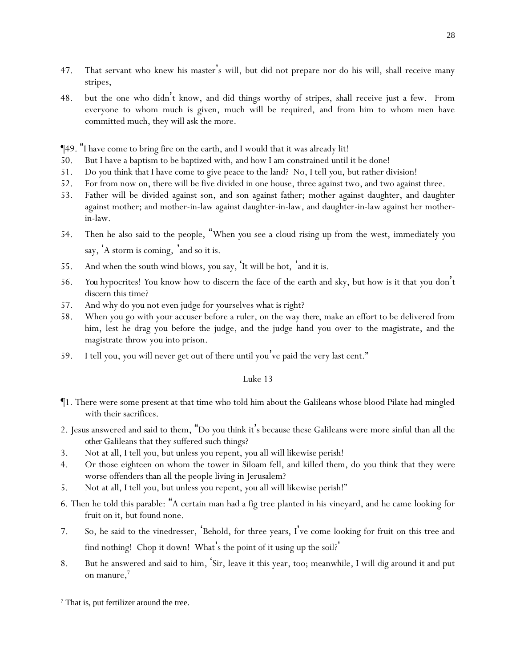- 47. That servant who knew his master's will, but did not prepare nor do his will, shall receive many stripes,
- 48. but the one who didn't know, and did things worthy of stripes, shall receive just a few. From everyone to whom much is given, much will be required, and from him to whom men have committed much, they will ask the more.
- ¶49. "I have come to bring fire on the earth, and I would that it was already lit!
- 50. But I have a baptism to be baptized with, and how I am constrained until it be done!
- 51. Do *y*ou think that I have come to give peace to the land? No, I tell *y*ou, but rather division!
- 52. For from now on, there will be five divided in one house, three against two, and two against three.
- 53. Father will be divided against son, and son against father; mother against daughter, and daughter against mother; and mother-in-law against daughter-in-law, and daughter-in-law against her motherin-law.
- 54. Then he also said to the people, "When *y*ou see a cloud rising up from the west, immediately *y*ou say, 'A storm is coming, 'and so it is.
- 55. And when the south wind blows, *y*ou say, 'It will be hot, 'and it is.
- 56. *You* hypocrites! *Y*ou know how to discern the face of the earth and sky, but how is it that *y*ou don't discern this time?
- 57. And why do *y*ou not even judge for *y*ourselves what is right?
- 58. When you go with your accuser before a ruler, on the way *there*, make an effort to be delivered from him, lest he drag you before the judge, and the judge hand you over to the magistrate, and the magistrate throw you into prison.
- 59. I tell you, you will never get out of there until you've paid the very last cent."

- ¶1. There were some present at that time who told him about the Galileans whose blood Pilate had mingled with their sacrifices.
- 2. Jesus answered and said to them, "Do *y*ou think it's because these Galileans were more sinful than all the *other* Galileans that they suffered such things?
- 3. Not at all, I tell *y*ou, but unless *y*ou repent, *y*ou all will likewise perish!
- 4. Or those eighteen on whom the tower in Siloam fell, and killed them, do *y*ou think that they were worse offenders than all the people living in Jerusalem?
- 5. Not at all, I tell *y*ou, but unless *y*ou repent, *y*ou all will likewise perish!"
- 6. Then he told this parable: "A certain man had a fig tree planted in his vineyard, and he came looking for fruit on it, but found none.
- 7. So, he said to the vinedresser, 'Behold, for three years, I've come looking for fruit on this tree and find nothing! Chop it down! What's the point of it using up the soil?'
- 8. But he answered and said to him, 'Sir, leave it this year, too; meanwhile, I will dig around it and put on manure,<sup>7</sup>

<sup>&</sup>lt;sup>7</sup> That is, put fertilizer around the tree.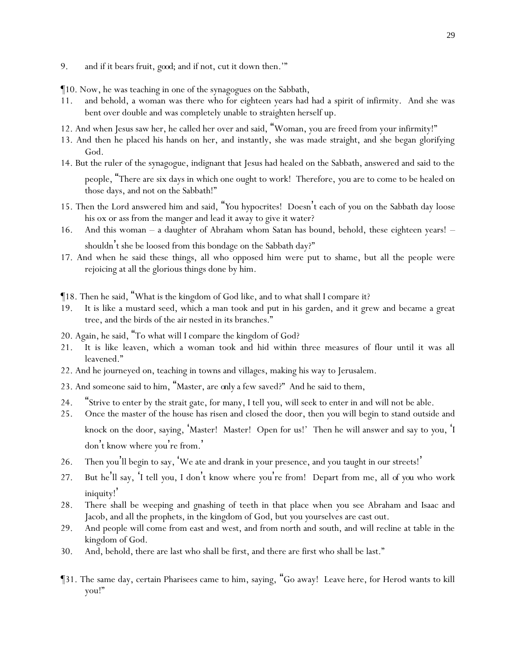- 9. and if it bears fruit, *good*; and if not, cut it down then.'"
- ¶10. Now, he was teaching in one of the synagogues on the Sabbath,
- 11. and behold, a woman was there who for eighteen years had had a spirit of infirmity. And she was bent over double and was completely unable to straighten herself up.
- 12. And when Jesus saw her, he called her over and said, "Woman, you are freed from your infirmity!"
- 13. And then he placed his hands on her, and instantly, she was made straight, and she began glorifying God.
- 14. But the ruler of the synagogue, indignant that Jesus had healed on the Sabbath, answered and said to the people, "There are six days in which one ought to work! Therefore, *y*ou are to come to be healed on those days, and not on the Sabbath!"
- 15. Then the Lord answered him and said, "*Y*ou hypocrites! Doesn't each of *y*ou on the Sabbath day loose his ox or ass from the manger and lead it away to give it water?
- 16. And this woman a daughter of Abraham whom Satan has bound, behold, these eighteen years! shouldn't she be loosed from this bondage on the Sabbath day?"
- 17. And when he said these things, all who opposed him were put to shame, but all the people were rejoicing at all the glorious things done by him.
- ¶18. Then he said, "What is the kingdom of God like, and to what shall I compare it?
- 19. It is like a mustard seed, which a man took and put in his garden, and it grew and became a great tree, and the birds of the air nested in its branches."
- 20. Again, he said, "To what will I compare the kingdom of God?
- 21. It is like leaven, which a woman took and hid within three measures of flour until it was all leavened."
- 22. And he journeyed on, teaching in towns and villages, making his way to Jerusalem.
- 23. And someone said to him, "Master, are *only* a few saved?" And he said to them,
- 24. "Strive to enter by the strait gate, for many, I tell *y*ou, will seek to enter in and will not be able.
- 25. Once the master of the house has risen and closed the door, then *y*ou will begin to stand outside and knock on the door, saying, 'Master! Master! Open for us!' Then he will answer and say to *y*ou, 'I don't know where you're from.'
- 26. Then *y*ou'll begin to say, 'We ate and drank in your presence, and you taught in our streets!'
- 27. But he'll say, 'I tell *y*ou, I don't know where *y*ou're from! Depart from me, all *of you* who work iniquity! '
- 28. There shall be weeping and gnashing of teeth in that place when *y*ou see Abraham and Isaac and Jacob, and all the prophets, in the kingdom of God, but *y*ou *y*ourselves are cast out.
- 29. And people will come from east and west, and from north and south, and will recline at table in the kingdom of God.
- 30. And, behold, there are last who shall be first, and there are first who shall be last."
- ¶31. The same day, certain Pharisees came to him, saying, "Go away! Leave here, for Herod wants to kill you!"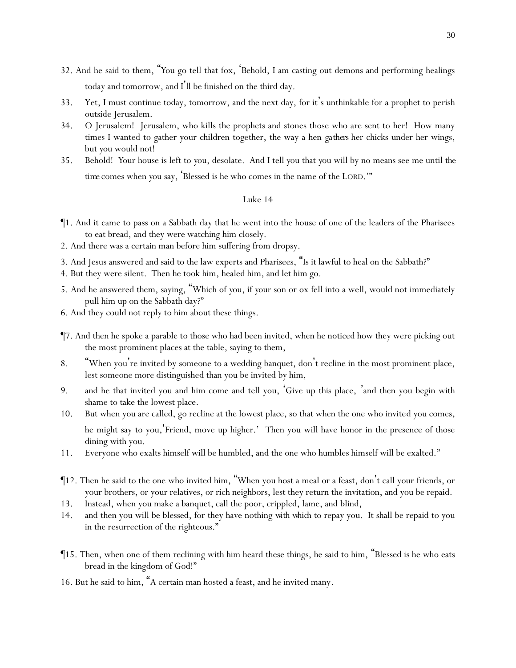- 32. And he said to them, "*Y*ou go tell that fox, 'Behold, I am casting out demons and performing healings today and tomorrow, and I 'll be finished on the third day.
- 33. Yet, I must continue today, tomorrow, and the next day, for it's unthinkable for a prophet to perish outside Jerusalem.
- 34. O Jerusalem! Jerusalem, who kills the prophets and stones those who are sent to her! How many times I wanted to gather your children together, the way a hen *gathers* her chicks under her wings, but *y*ou would not!
- 35. Behold! *Y*our house is left to *y*ou, desolate. And I tell *y*ou that *y*ou will by no means see me until *the time* comes when *y*ou say, 'Blessed is he who comes in the name of the LORD.'"

- ¶1. And it came to pass on a Sabbath day that he went into the house of one of the leaders of the Pharisees to eat bread, and they were watching him closely.
- 2. And there was a certain man before him suffering from dropsy.
- 3. And Jesus answered and said to the law experts and Pharisees, "Is it lawful to heal on the Sabbath?"
- 4. But they were silent. Then he took him, healed him, and let him go.
- 5. And he answered them, saying, "Which of *y*ou, if *y*our son or ox fell into a well, would not immediately pull him up on the Sabbath day?"
- 6. And they could not reply to him about these things.
- ¶7. And then he spoke a parable to those who had been invited, when he noticed how they were picking out the most prominent places at the table, saying to them,
- 8. "When you're invited by someone to a wedding banquet, don't recline in the most prominent place, lest someone more distinguished than you be invited by him,
- 9. and he that invited you and him come and tell you, 'Give up this place, 'and then you begin with shame to take the lowest place.
- 10. But when you are called, go recline at the lowest place, so that when the one who invited you comes, he might say to you,'Friend, move up higher.' Then you will have honor in the presence of those dining with you.
- 11. Everyone who exalts himself will be humbled, and the one who humbles himself will be exalted."
- ¶12. Then he said to the one who invited him, "When you host a meal or a feast, don't call your friends, or your brothers, or your relatives, or rich neighbors, lest they return the invitation, and you be repaid.
- 13. Instead, when you make a banquet, call the poor, crippled, lame, and blind,
- 14. and then you will be blessed, for they have nothing *with which* to repay you. It shall be repaid to you in the resurrection of the righteous."
- ¶15. Then, when one of them reclining with him heard these things, he said to him, "Blessed is he who eats bread in the kingdom of God!"
- 16. But he said to him, "A certain man hosted a feast, and he invited many*.*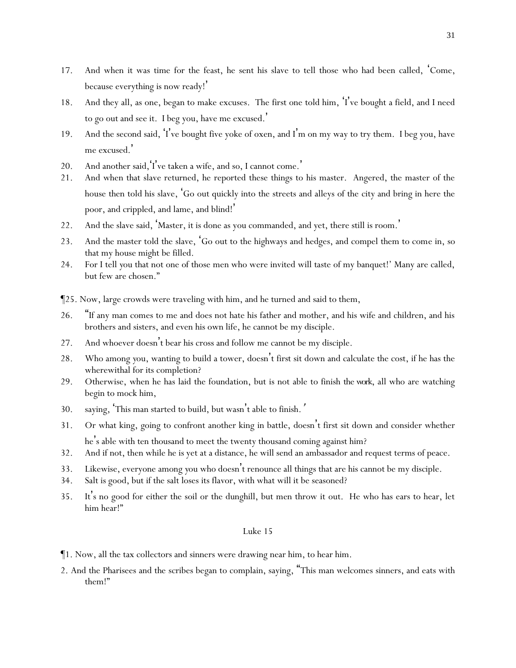- 17. And when it was time for the feast, he sent his slave to tell those who had been called, 'Come, because everything is now ready! '
- 18. And they all, as one, began to make excuses. The first one told him, 'I 've bought a field, and I need to go out and see it. I beg you, have me excused. '
- 19. And the second said, 'I've bought five yoke of oxen, and I'm on my way to try them. I beg you, have me excused.'
- 20. And another said, I've taken a wife, and so, I cannot come.'
- 21. And when that slave returned, he reported these things to his master. Angered, the master of the house then told his slave, 'Go out quickly into the streets and alleys of the city and bring in here the poor, and crippled, and lame, and blind! '
- 22. And the slave said, 'Master, it is done as you commanded, and yet, there still is room.'
- 23. And the master told the slave, 'Go out to the highways and hedges, and compel them to come in, so that my house might be filled.
- 24. For I tell *y*ou that not one of those men who were invited will taste of my banquet!' Many are called, but few are chosen."
- ¶25. Now, large crowds were traveling with him, and he turned and said to them,
- 26. "If any man comes to me and does not hate his father and mother, and his wife and children, and his brothers and sisters, and even his own life, he cannot be my disciple.
- 27. And whoever doesn't bear his cross and follow me cannot be my disciple.
- 28. Who among *y*ou, wanting to build a tower, doesn't first sit down and calculate the cost, if he has the wherewithal for its completion?
- 29. Otherwise, when he has laid the foundation, but is not able to finish *the work*, all who are watching begin to mock him,
- 30. saying, 'This man started to build, but wasn't able to finish*.*'
- 31. Or what king, going to confront another king in battle, doesn't first sit down and consider whether he's able with ten thousand to meet the twenty thousand coming against him?
- 32. And if not, then while he is yet at a distance, he will send an ambassador and request terms of peace.
- 33. Likewise, everyone among *y*ou who doesn't renounce all things that are his cannot be my disciple.
- 34. Salt is good, but if the salt loses its flavor, with what will it be seasoned?
- 35. It's no good for either the soil or the dunghill, but men throw it out. He who has ears to hear, let him hear!"

- ¶1. Now, all the tax collectors and sinners were drawing near him, to hear him.
- 2. And the Pharisees and the scribes began to complain, saying, "This man welcomes sinners, and eats with them!"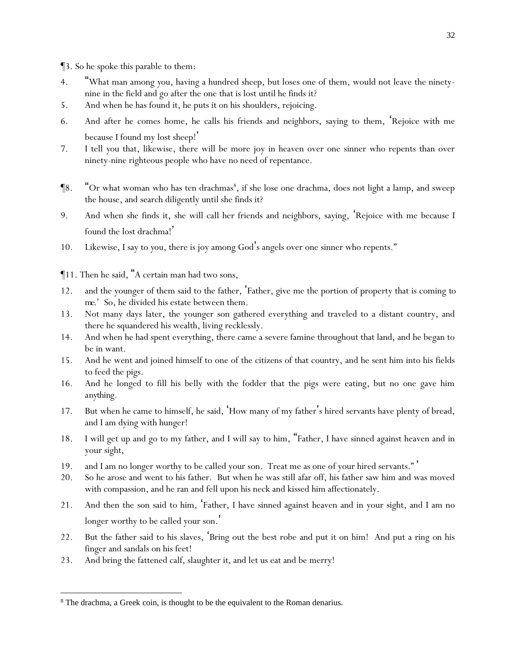¶3. So he spoke this parable to them:

- 4. "What man among *y*ou, having a hundred sheep, but loses one of them, would not leave the ninetynine in the field and go after the one that is lost until he finds it?
- 5. And when he has found it, he puts it on his shoulders, rejoicing.
- 6. And after he comes home, he calls his friends and neighbors, saying to them, 'Rejoice with me because I found my lost sheep!'
- 7. I tell *y*ou that, likewise, there will be more joy in heaven over one sinner who repents than over ninety-nine righteous people who have no need of repentance.
- $\P8.$  "Or what woman who has ten drachmas $^8,$  if she lose one drachma, does not light a lamp, and sweep the house, and search diligently until she finds it?
- 9. And when she finds it, she will call her friends and neighbors, saying, 'Rejoice with me because I found the lost drachma! '
- 10. Likewise, I say to *y*ou, there is joy among God's angels over one sinner who repents."
- ¶11. Then he said, "A certain man had two sons,
- 12. and the younger of them said to the father, 'Father, give me the portion of property that is coming *to me.*' So, he divided his estate between them.
- 13. Not many days later, the younger son gathered everything and traveled to a distant country, and there he squandered his wealth, living recklessly.
- 14. And when he had spent everything, there came a severe famine throughout that land, and he began to be in want.
- 15. And he went and joined himself to one of the citizens of that country, and he sent him into his fields to feed the pigs.
- 16. And he longed to fill his belly with the fodder that the pigs were eating, but no one gave him *anything*.
- 17. But when he came to himself, he said, 'How many of my father's hired servants have plenty of bread, and I am dying with hunger!
- 18. I will get up and go to my father, and I will say to him, "Father, I have sinned against heaven and in your sight,
- 19. and I am no longer worthy to be called your son. Treat me as one of your hired servants." '
- 20. So he arose and went to his father. But when he was still afar off, his father saw him and was moved with compassion, and he ran and fell upon his neck and kissed him affectionately.
- 21. And then the son said to him, 'Father, I have sinned against heaven and in your sight, and I am no longer worthy to be called your son.'
- 22. But the father said to his slaves, 'Bring out the best robe and put it on him! And put a ring on his finger and sandals on his feet!
- 23. And bring the fattened calf, slaughter *it*, and let us eat and be merry!

<sup>&</sup>lt;sup>8</sup> The drachma, a Greek coin, is thought to be the equivalent to the Roman denarius.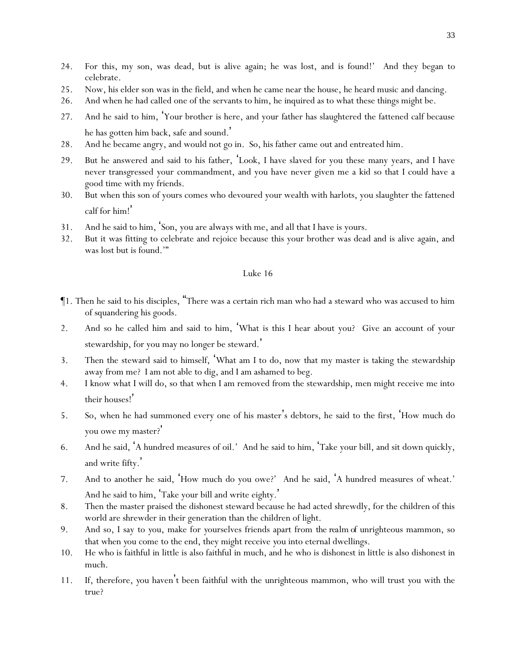- 24. For this, my son, was dead, but is alive again; he was lost, and is found!' And they began to celebrate.
- 25. Now, his elder son was in the field, and when he came near the house, he heard music and dancing.
- 26. And when he had called one of the servants to him, he inquired as to what these things might be.
- 27. And he said to him, 'Your brother is here, and your father has slaughtered the fattened calf because he has gotten him back, safe and sound. '
- 28. And he became angry, and would not go in. So, his father came out and entreated him.
- 29. But he answered and said to his father, 'Look, I have slaved for you these many years, and I have never transgressed your commandment, and you have never given me a kid so that I could have a good time with my friends.
- 30. But when this son of yours comes who devoured your wealth with harlots, you slaughter the fattened calf for him! '
- 31. And he said to him, 'Son, you are always with me, and all that I have is yours.
- 32. But it was fitting to celebrate and rejoice because this your brother was dead and is alive again, and was lost but is found.'"

- ¶1. Then he said to his disciples, "There was a certain rich man who had a steward who was accused to him of squandering his goods.
- 2. And so he called him and said to him, 'What is this I hear about you? Give an account of your stewardship, for you may no longer be steward.'
- 3. Then the steward said to himself, 'What am I to do, now that my master is taking the stewardship away from me? I am not able to dig, and I am ashamed to beg.
- 4. I know what I will do, so that when I am removed from the stewardship, men might receive me into their houses! '
- 5. So, when he had summoned every one of his master's debtors, he said to the first, 'How much do you owe my master?'
- 6. And he said, 'A hundred measures of oil.' And he said to him, 'Take your bill, and sit down quickly, and write fifty. '
- 7. And to another he said, 'How much do you owe?' And he said, 'A hundred measures of wheat.' And he said to him, 'Take your bill and write eighty. '
- 8. Then the master praised the dishonest steward because he had acted shrewdly, for the children of this world are shrewder in their generation than the children of light.
- 9. And so, I say to *y*ou, make for *y*ourselves friends apart from *the realm of* unrighteous mammon, so that when *y*ou come to the end, they might receive *y*ou into eternal dwellings.
- 10. He who is faithful in little is also faithful in much, and he who is dishonest in little is also dishonest in much.
- 11. If, therefore, *y*ou haven't been faithful with the unrighteous mammon, who will trust *y*ou with the true?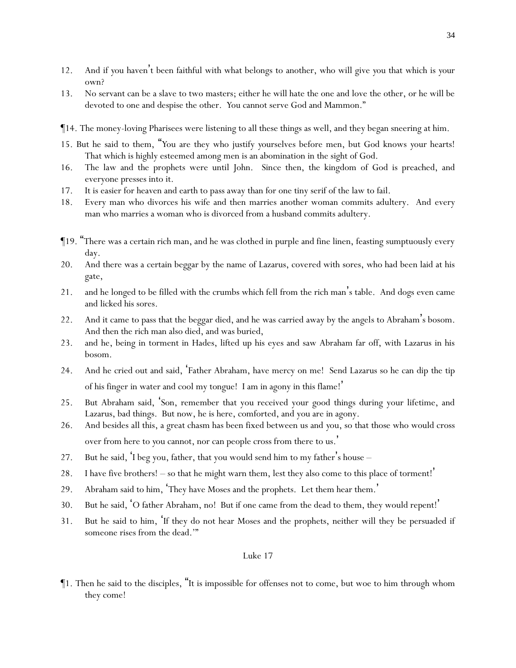- 12. And if *y*ou haven't been faithful with what belongs to another, who will give *y*ou that which is *y*our own?
- 13. No servant can be a slave to two masters; either he will hate the one and love the other, or he will be devoted to one and despise the other. *Y*ou cannot serve God and Mammon."
- ¶14. The money-loving Pharisees were listening to all these things as well, and they began sneering at him.
- 15. But he said to them, "*Y*ou are they who justify *y*ourselves before men, but God knows *y*our hearts! That which is highly esteemed among men is an abomination in the sight of God.
- 16. The law and the prophets were until John. Since then, the kingdom of God is preached, and everyone presses into it.
- 17. It is easier for heaven and earth to pass away than for one tiny serif of the law to fail.
- 18. Every man who divorces his wife and then marries another woman commits adultery. And every man who marries a woman who is divorced from a husband commits adultery.
- ¶19. "There was a certain rich man, and he was clothed in purple and fine linen, feasting sumptuously every day.
- 20. And there was a certain beggar by the name of Lazarus, covered with sores, who had been laid at his gate,
- 21. and he longed to be filled with the crumbs which fell from the rich man's table. And dogs even came and licked his sores.
- 22. And it came to pass that the beggar died, and he was carried away by the angels to Abraham's bosom. And then the rich man also died, and was buried,
- 23. and he, being in torment in Hades, lifted up his eyes and saw Abraham far off, with Lazarus in his bosom.
- 24. And he cried out and said, 'Father Abraham, have mercy on me! Send Lazarus so he can dip the tip of his finger in water and cool my tongue! I am in agony in this flame! '
- 25. But Abraham said, 'Son, remember that you received your good things during your lifetime, and Lazarus, bad things. But now, he is here, comforted, and you are in agony.
- 26. And besides all this, a great chasm has been fixed between us and *y*ou, so that those who would cross over from here to *y*ou cannot, nor can people cross from there to us. '
- 27. But he said, 'I beg you, father, that you would send him to my father's house –
- 28. I have five brothers! so that he might warn them, lest they also come to this place of torment! '
- 29. Abraham said to him, 'They have Moses and the prophets. Let them hear them. '
- 30. But he said, 'O father Abraham, no! But if one came from the dead to them, they would repent! '
- 31. But he said to him, 'If they do not hear Moses and the prophets, neither will they be persuaded if someone rises from the dead.'"

¶1. Then he said to the disciples, "It is impossible for offenses not to come, but woe to him through whom they come!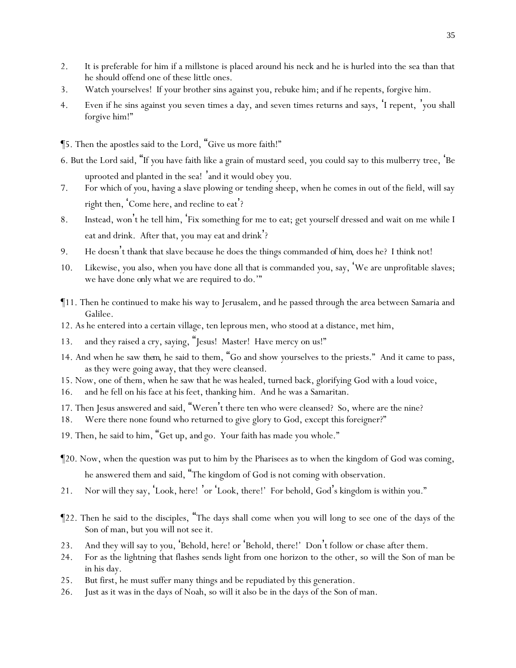- 2. It is preferable for him if a millstone is placed around his neck and he is hurled into the sea than that he should offend one of these little ones.
- 3. Watch *y*ourselves! If your brother sins against you, rebuke him; and if he repents, forgive him.
- 4. Even if he sins against you seven times a day, and seven times returns and says, 'I repent, 'you shall forgive him!"
- ¶5. Then the apostles said to the Lord, "Give us more faith!"
- 6. But the Lord said, "If *y*ou have faith like a grain of mustard seed, *y*ou could say to this mulberry tree, 'Be uprooted and planted in the sea! 'and it would obey *y*ou.
- 7. For which of *y*ou, having a slave plowing or tending sheep, when he comes in out of the field, will say right then, 'Come here, and recline to eat'?
- 8. Instead, won't he tell him, 'Fix something for me to eat; get yourself dressed and wait on me while I eat and drink. After that, you may eat and drink'?
- 9. He doesn't thank that slave because he does the things commanded *of him*, does he? I think not!
- 10. Likewise, *y*ou also, when *y*ou have done all that is commanded *y*ou, say, 'We are unprofitable slaves; we have done *only* what we are required to do.'"
- ¶11. Then he continued to make his way to Jerusalem, and he passed through the area between Samaria and Galilee.
- 12. As he entered into a certain village, ten leprous men, who stood at a distance, met him,
- 13. and they raised a cry, saying, "Jesus! Master! Have mercy on us!"
- 14. And when he saw *them*, he said to them, "Go and show *y*ourselves to the priests." And it came to pass, as they were going away, that they were cleansed.
- 15. Now, one of them, when he saw that he was healed, turned back, glorifying God with a loud voice,
- 16. and he fell on his face at his feet, thanking him. And he was a Samaritan.
- 17. Then Jesus answered and said, "Weren't there ten who were cleansed? So, where are the nine?
- 18. Were there none found who returned to give glory to God, except this foreigner?"
- 19. Then, he said to him, "Get up, *and* go. Your faith has made you whole."
- ¶20. Now, when the question was put to him by the Pharisees as to when the kingdom of God was coming, he answered them and said, "The kingdom of God is not coming with observation.
- 21. Nor will they say, 'Look, here! 'or 'Look, there!' For behold, God's kingdom is within *y*ou."
- ¶22. Then he said to the disciples, "The days shall come when *y*ou will long to see one of the days of the Son of man, but *y*ou will not see it.
- 23. And they will say to *y*ou, 'Behold, here! or 'Behold, there!' Don't follow or chase after them*.*
- 24. For as the lightning that flashes sends light from one horizon to the other, so will the Son of man be in his day.
- 25. But first, he must suffer many things and be repudiated by this generation.
- 26. Just as it was in the days of Noah, so will it also be in the days of the Son of man.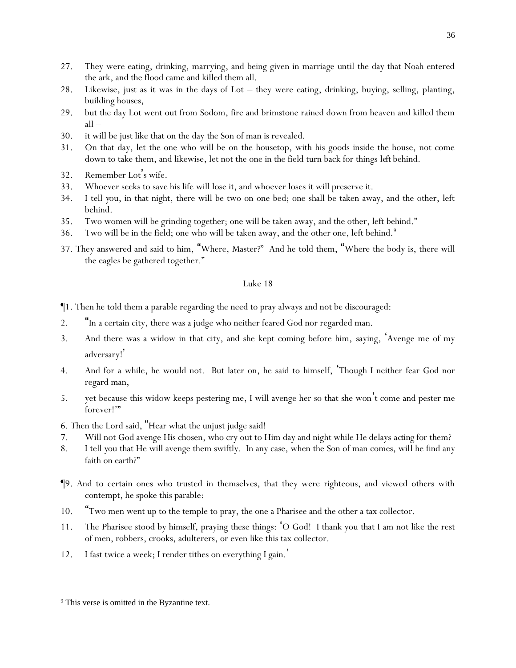- 27. They were eating, drinking, marrying, and being given in marriage until the day that Noah entered the ark, and the flood came and killed them all.
- 28. Likewise, just as it was in the days of Lot they were eating, drinking, buying, selling, planting, building houses,
- 29. but the day Lot went out from Sodom, fire and brimstone rained down from heaven and killed them all –
- 30. it will be just like that on the day the Son of man is revealed.
- 31. On that day, let the one who will be on the housetop, with his goods inside the house, not come down to take them, and likewise, let not the one in the field turn back for things *left* behind.
- 32. Remember Lot's wife.
- 33. Whoever seeks to save his life will lose it, and whoever loses it will preserve it.
- 34. I tell *y*ou, in that night, there will be two on one bed; one shall be taken away, and the other, left behind.
- 35. Two women will be grinding together; one will be taken away, and the other, left behind."
- 36. Two will be in the field; one who will be taken away, and the other one, left behind.<sup>9</sup>
- 37. They answered and said to him, "Where, Master?" And he told them, "Where the body is, there will the eagles be gathered together."

- ¶1. Then he told them a parable regarding the need to pray always and not be discouraged:
- 2. "In a certain city, there was a judge who neither feared God nor regarded man.
- 3. And there was a widow in that city, and she kept coming before him, saying, 'Avenge me of my adversary! '
- 4. And for a while, he would not. But later on, he said to himself, 'Though I neither fear God nor regard man,
- 5. yet because this widow keeps pestering me, I will avenge her so that she won't come and pester me forever!'"
- 6. Then the Lord said, "Hear what the unjust judge said!
- 7. Will not God avenge His chosen, who cry out to Him day and night while He delays *acting* for them?
- 8. I tell *y*ou that He will avenge them swiftly. In any case, when the Son of man comes, will he find any faith on earth?"
- ¶9. And to certain ones who trusted in themselves, that they were righteous, and viewed others with contempt, he spoke this parable:
- 10. "Two men went up to the temple to pray, the one a Pharisee and the other a tax collector.
- 11. The Pharisee stood by himself, praying these things: 'O God! I thank you that I am not like the rest of men, robbers, crooks, adulterers, or even like this tax collector.
- 12. I fast twice a week; I render tithes on everything I gain.'

<sup>&</sup>lt;sup>9</sup> This verse is omitted in the Byzantine text.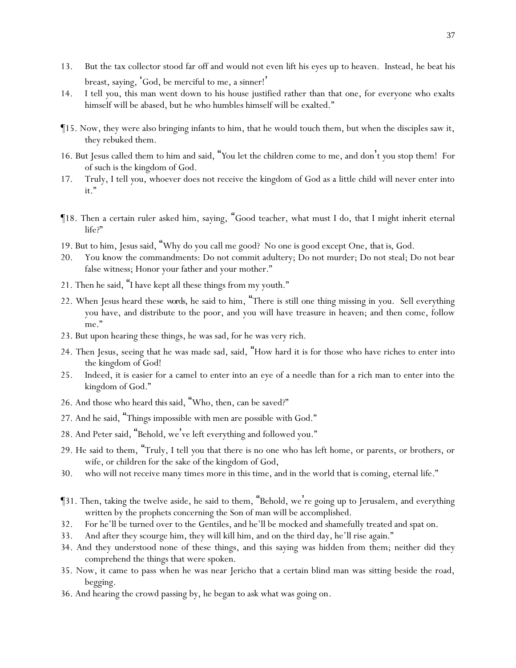- 13. But the tax collector stood far off and would not even lift his eyes up to heaven. Instead, he beat his breast, saying, 'God, be merciful to me, a sinner!'
- 14. I tell *y*ou, this man went down to his house justified rather than that one, for everyone who exalts himself will be abased, but he who humbles himself will be exalted."
- ¶15. Now, they were also bringing infants to him, that he would touch them, but when the disciples saw it, they rebuked them.
- 16. But Jesus called them to him and said, "*Y*ou let the children come to me, and don't *y*ou stop them! For of such is the kingdom of God.
- 17. Truly, I tell *y*ou, whoever does not receive the kingdom of God as a little child will never enter into it."
- ¶18. Then a certain ruler asked him, saying, "Good teacher, what must I do, that I might inherit eternal life?"
- 19. But to him, Jesus said, "Why do you call me good? No one is good except One, *that is*, God.
- 20. You know the commandments: Do not commit adultery; Do not murder; Do not steal; Do not bear false witness; Honor your father and your mother."
- 21. Then he said, "I have kept all these things from my youth."
- 22. When Jesus heard these *words*, he said to him, "There is still one thing missing in you. Sell everything you have, and distribute to the poor, and you will have treasure in heaven; and then come, follow me."
- 23. But upon hearing these things, he was sad, for he was very rich.
- 24. Then Jesus, seeing that he was made sad, said, "How hard it is for those who have riches to enter into the kingdom of God!
- 25. Indeed, it is easier for a camel to enter into an eye of a needle than for a rich man to enter into the kingdom of God."
- 26. And those who heard *this* said, "Who, then, can be saved?"
- 27. And he said, "Things impossible with men are possible with God."
- 28. And Peter said, "Behold, we've left everything and followed you."
- 29. He said to them, "Truly, I tell *y*ou that there is no one who has left home, or parents, or brothers, or wife, or children for the sake of the kingdom of God,
- 30. who will not receive many times more in this time, and in the world that is coming, eternal life."
- ¶31. Then, taking the twelve aside, he said to them, "Behold, we're going up to Jerusalem, and everything written by the prophets concerning the Son of man will be accomplished.
- 32. For he'll be turned over to the Gentiles, and he'll be mocked and shamefully treated and spat on.
- 33. And after they scourge him, they will kill him, and on the third day, he'll rise again."
- 34. And they understood none of these things, and this saying was hidden from them; neither did they comprehend the things that were spoken.
- 35. Now, it came to pass when he was near Jericho that a certain blind man was sitting beside the road, begging.
- 36. And hearing the crowd passing by, he began to ask what was going on.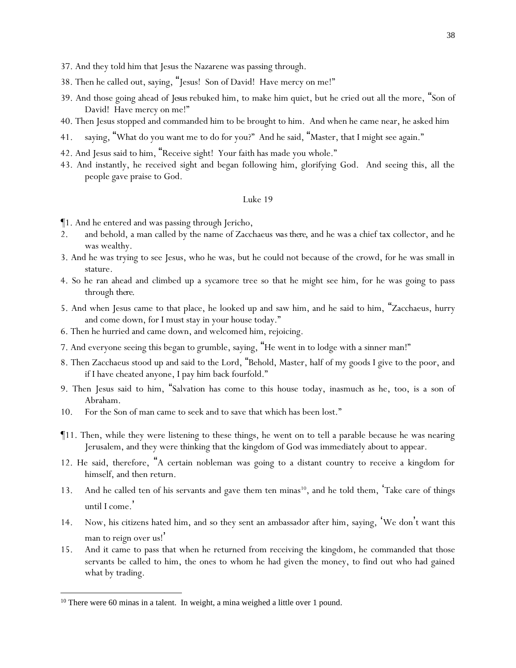- 37. And they told him that Jesus the Nazarene was passing through.
- 38. Then he called out, saying, "Jesus! Son of David! Have mercy on me!"
- 39. And those going ahead of *Jesus* rebuked him, to make him quiet, but he cried out all the more, "Son of David! Have mercy on me!"
- 40. Then Jesus stopped and commanded him to be brought to him. And when he came near, he asked him
- 41. saying, "What do you want me to do for you?" And he said, "Master, that I might see again."
- 42. And Jesus said to him, "Receive sight! Your faith has made you whole."
- 43. And instantly, he received sight and began following him, glorifying God. And seeing this, all the people gave praise to God.

- ¶1. And he entered and was passing through Jericho,
- 2. and behold, a man called by the name of Zacchaeus *was there*, and he was a chief tax collector, and he was wealthy.
- 3. And he was trying to see Jesus, who he was, but he could not because of the crowd, for he was small in stature.
- 4. So he ran ahead and climbed up a sycamore tree so that he might see him, for he was going to pass through *there*.
- 5. And when Jesus came to that place, he looked up and saw him, and he said to him, "Zacchaeus, hurry and come down, for I must stay in your house today."
- 6. Then he hurried and came down, and welcomed him, rejoicing.
- 7. And everyone seeing this began to grumble, saying, "He went in to lodge with a sinner man!"
- 8. Then Zacchaeus stood up and said to the Lord, "Behold, Master, half of my goods I give to the poor, and if I have cheated anyone, I pay him back fourfold."
- 9. Then Jesus said to him, "Salvation has come to this house today, inasmuch as he, too, is a son of Abraham.
- 10. For the Son of man came to seek and to save that which has been lost."
- ¶11. Then, while they were listening to these things, he went on to tell a parable because he was nearing Jerusalem, and they were thinking that the kingdom of God was immediately about to appear.
- 12. He said, therefore, "A certain nobleman was going to a distant country to receive a kingdom for himself, and then return.
- 13. And he called ten of his servants and gave them ten minas<sup>10</sup>, and he told them, Take care of things until I come. '
- 14. Now, his citizens hated him, and so they sent an ambassador after him, saying, 'We don't want this man to reign over us!'
- 15. And it came to pass that when he returned from receiving the kingdom, he commanded that those servants be called to him, the ones to whom he had given the money, to find out who had gained what by trading.

<sup>&</sup>lt;sup>10</sup> There were 60 minas in a talent. In weight, a mina weighed a little over 1 pound.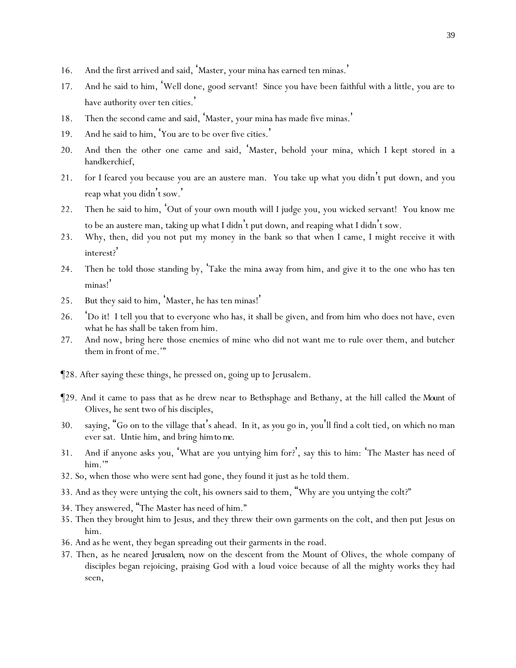- 16. And the first arrived and said, 'Master, your mina has earned ten minas. '
- 17. And he said to him, 'Well done, good servant! Since you have been faithful with a little, you are to have authority over ten cities.'
- 18. Then the second came and said, 'Master, your mina has made five minas.'
- 19. And he said to him, 'You are to be over five cities.'
- 20. And then the other one came and said, 'Master, behold your mina, which I kept stored in a handkerchief,
- 21. for I feared you because you are an austere man. You take up what you didn't put down, and you reap what you didn't sow. '
- 22. Then he said to him, 'Out of your own mouth will I judge you, you wicked servant! You know me to be an austere man, taking up what I didn't put down, and reaping what I didn't sow.
- 23. Why, then, did you not put my money in the bank so that when I came, I might receive it with interest?'
- 24. Then he told those standing by, 'Take the mina away from him, and give it to the one who has ten minas!'
- 25. But they said to him, 'Master, he has ten minas!'
- 26. 'Do it! I tell *y*ou that to everyone who has, it shall be given, and from him who does not have, even what he has shall be taken from him.
- 27. And now, bring here those enemies of mine who did not want me to rule over them, and butcher them in front of me.'"
- ¶28. After saying these things, he pressed on, going up to Jerusalem.
- ¶29. And it came to pass that as he drew near to Bethsphage and Bethany, at the hill called *the Mount* of Olives, he sent two of his disciples,
- 30. saying, "Go on to the village that's ahead. In it, as *y*ou go in, *y*ou'll find a colt tied, on which no man ever sat. Untie him, and bring *him to me*.
- 31. And if anyone asks *y*ou, 'What are *y*ou untying him for?', say this to him: 'The Master has need of him."
- 32. So, when those who were sent had gone, they found it just as he told them.
- 33. And as they were untying the colt, his owners said to them, "Why are *y*ou untying the colt?"
- 34. They answered, "The Master has need of him."
- 35. Then they brought him to Jesus, and they threw their own garments on the colt, and then put Jesus on him.
- 36. And as he went, they began spreading out their garments in the road.
- 37. Then, as he neared *Jerusalem*, now on the descent from the Mount of Olives, the whole company of disciples began rejoicing, praising God with a loud voice because of all the mighty works they had seen,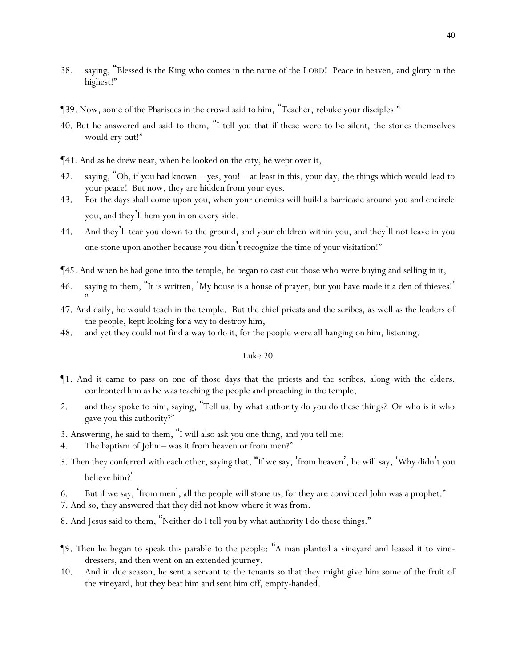- 38. saying, "Blessed is the King who comes in the name of the LORD! Peace in heaven, and glory in the highest!"
- ¶39. Now, some of the Pharisees in the crowd said to him, "Teacher, rebuke your disciples!"
- 40. But he answered and said to them, "I tell *y*ou that if these were to be silent, the stones themselves would cry out!"
- ¶41. And as he drew near, when he looked on the city, he wept over it,
- 42. saying, "Oh, if you had known yes, you! at least in this, your day, the things which would lead to your peace! But now, they are hidden from your eyes.
- 43. For the days shall come upon you, when your enemies will build a barricade around you and encircle you, and they'll hem you in on every side.
- 44. And they'll tear you down to the ground, and your children within you, and they'll not leave in you one stone upon another because you didn't recognize the time of your visitation!"
- ¶45. And when he had gone into the temple, he began to cast out those who were buying and selling in it,
- 46. saying to them, "It is written, 'My house is a house of prayer, but *y*ou have made it a den of thieves! ' "
- 47. And daily, he would teach in the temple. But the chief priests and the scribes, as well as the leaders of the people, kept looking *for a way* to destroy him,
- 48. and yet they could not find a way to do it, for the people were all hanging on him, listening.

- ¶1. And it came to pass on one of those days that the priests and the scribes, along with the elders, confronted him as he was teaching the people and preaching in the temple,
- 2. and they spoke to him, saying, "Tell us, by what authority do you do these things? Or who is it who gave you this authority?"
- 3. Answering, he said to them, "I will also ask *y*ou one thing, and *y*ou tell me:
- 4. The baptism of John was it from heaven or from men?"
- 5. Then they conferred with each other, saying that, "If we say, 'from heaven', he will say, 'Why didn't *y*ou believe him?'
- 6. But if we say, 'from men', all the people will stone us, for they are convinced John was a prophet."
- 7. And so, they answered that they did not know where it was from.
- 8. And Jesus said to them, "Neither do I tell *y*ou by what authority I do these things."
- ¶9. Then he began to speak this parable to the people: "A man planted a vineyard and leased it to vinedressers, and then went on an extended journey.
- 10. And in due season, he sent a servant to the tenants so that they might give him some of the fruit of the vineyard, but they beat him and sent him off, empty-handed.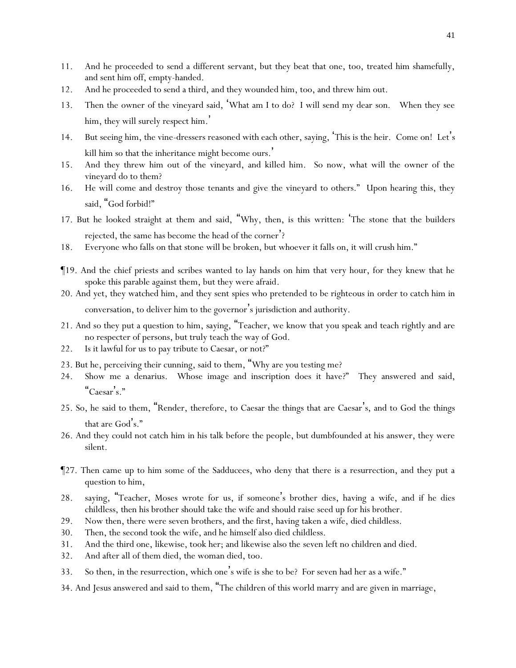- 11. And he proceeded to send a different servant, but they beat that one, too, treated him shamefully, and sent him off, empty-handed.
- 12. And he proceeded to send a third, and they wounded him, too, and threw him out.
- 13. Then the owner of the vineyard said, 'What am I to do? I will send my dear son. When they see him, they will surely respect him. '
- 14. But seeing him, the vine-dressers reasoned with each other, saying, 'This is the heir. Come on! Let's kill him so that the inheritance might become ours.'
- 15. And they threw him out of the vineyard, and killed him. So now, what will the owner of the vineyard do to them?
- 16. He will come and destroy those tenants and give the vineyard to others." Upon hearing this, they said, "God forbid!"
- 17. But he looked straight at them and said, "Why, then, is this written: 'The stone that the builders rejected, the same has become the head of the corner'?
- 18. Everyone who falls on that stone will be broken, but whoever it falls on, it will crush him."
- ¶19. And the chief priests and scribes wanted to lay hands on him that very hour, for they knew that he spoke this parable against them, but they were afraid.
- 20. And yet, they watched him, and they sent spies who pretended to be righteous in order to catch him in conversation, to deliver him to the governor's jurisdiction and authority.
- 21. And so they put a question to him, saying, "Teacher, we know that you speak and teach rightly and are no respecter of persons, but truly teach the way of God.
- 22. Is it lawful for us to pay tribute to Caesar, or not?"
- 23. But he, perceiving their cunning, said to them, "Why are *y*ou testing me?
- 24. Show me a denarius. Whose image and inscription does it have?" They answered and said, "Caesar's."
- 25. So, he said to them, "Render, therefore, to Caesar the things that are Caesar's, and to God the things that are God's."
- 26. And they could not catch him in his talk before the people, but dumbfounded at his answer, they were silent.
- ¶27. Then came up to him some of the Sadducees, who deny that there is a resurrection, and they put a question to him,
- 28. saying, "Teacher, Moses wrote for us, if someone 's brother dies, having a wife, and if he dies childless, then his brother should take the wife and should raise seed up for his brother.
- 29. Now then, there were seven brothers, and the first, having taken a wife, died childless.
- 30. Then, the second took the wife, and he himself also died childless.
- 31. And the third one, likewise, took her; and likewise also the seven left no children and died.
- 32. And after all of them died, the woman died, too.
- 33. So then, in the resurrection, which one's wife is she to be? For seven had her as a wife."
- 34. And Jesus answered and said to them, "The children of this world marry and are given in marriage,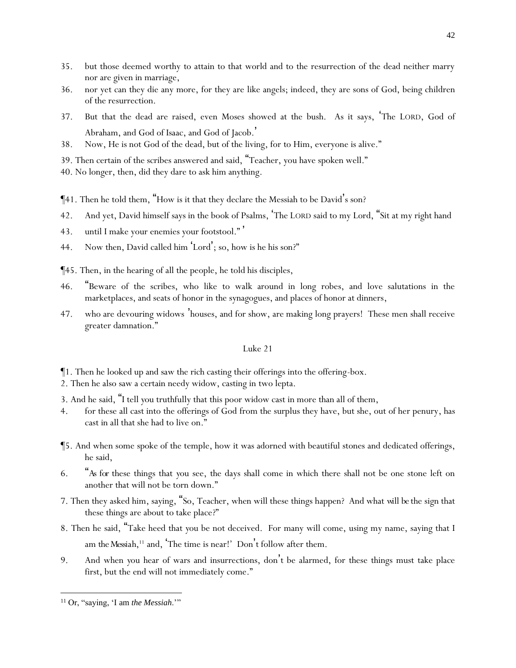- 35. but those deemed worthy to attain to that world and to the resurrection of the dead neither marry nor are given in marriage,
- 36. nor yet can they die any more, for they are like angels; indeed, they are sons of God, being children of the resurrection.
- 37. But that the dead are raised, even Moses showed at the bush. As it says, 'The LORD, God of Abraham, and God of Isaac, and God of Jacob. '
- 38. Now, He is not God of the dead, but of the living, for to Him, everyone is alive."
- 39. Then certain of the scribes answered and said, "Teacher, you have spoken well."
- 40. No longer, then, did they dare to ask him anything.
- ¶41. Then he told them, "How is it that they declare the Messiah to be David's son?
- 42. And yet, David himself says in the book of Psalms, 'The LORD said to my Lord, "Sit at my right hand
- 43. until I make your enemies your footstool." '
- 44. Now then, David called him 'Lord'; so, how is he his son?"
- ¶45. Then, in the hearing of all the people, he told his disciples,
- 46. "Beware of the scribes, who like to walk around in long robes, and love salutations in the marketplaces, and seats of honor in the synagogues, and places of honor at dinners,
- 47. who are devouring widows 'houses, and for show, are making long prayers! These men shall receive greater damnation."

- ¶1. Then he looked up and saw the rich casting their offerings into the offering-box.
- 2. Then he also saw a certain needy widow, casting in two lepta.
- 3. And he said, "I tell *y*ou truthfully that this poor widow cast in more than all of them,
- 4. for these all cast into the offerings of God from the surplus they have, but she, out of her penury, has cast in all that she had to live on."
- ¶5. And when some spoke of the temple, how it was adorned with beautiful stones and dedicated offerings, he said,
- 6. "*As for* these things that *y*ou see, the days shall come in which there shall not be one stone left on another that will not be torn down."
- 7. Then they asked him, saying, "So, Teacher, when will these things happen? And what *will be* the sign that these things are about to take place?"
- 8. Then he said, "Take heed that *y*ou be not deceived. For many will come, using my name, saying that I am the Messiah,<sup>11</sup> and, <sup>'</sup>The time is near!' Don't follow after them.
- 9. And when *y*ou hear of wars and insurrections, don't be alarmed, for these things must take place first, but the end will not immediately come."

<sup>11</sup> Or, "saying, 'I am *the Messiah*.'"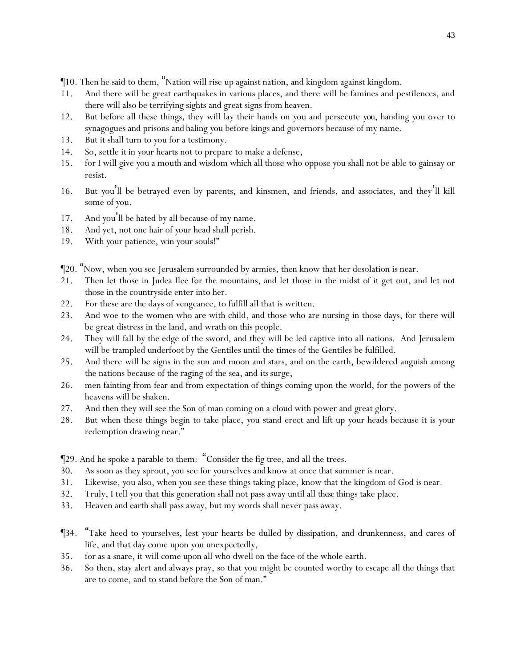¶10. Then he said to them, "Nation will rise up against nation, and kingdom against kingdom.

- 11. And there will be great earthquakes in various places, and there will be famines and pestilences, and there will also be terrifying sights and great signs from heaven.
- 12. But before all these things, they will lay their hands on *y*ou and persecute *you*, handing *y*ou over to synagogues and prisons *and* haling *y*ou before kings and governors because of my name.
- 13. But it shall turn to *y*ou for a testimony.
- 14. So, settle *it* in *y*our hearts not to prepare to make a defense,
- 15. for I will give *y*ou a mouth and wisdom which all those who oppose *y*ou shall not be able to gainsay or resist.
- 16. But *y*ou'll be betrayed even by parents, and kinsmen, and friends, and associates, and they'll kill some of *y*ou.
- 17. And *y*ou'll be hated by all because of my name.
- 18. And yet, not one hair of *y*our head shall perish.
- 19. With *y*our patience, win *y*our souls!"
- ¶20. "Now, when *y*ou see Jerusalem surrounded by armies, then know that her desolation is near.
- 21. Then let those in Judea flee for the mountains, and let those in the midst of it get out, and let not those in the countryside enter into her.
- 22. For these are the days of vengeance, to fulfill all that is written.
- 23. And woe to the women who are with child, and those who are nursing in those days, for there will be great distress in the land, and wrath on this people.
- 24. They will fall by the edge of the sword, and they will be led captive into all nations. And Jerusalem will be trampled underfoot by the Gentiles until the times of the Gentiles be fulfilled.
- 25. And there will be signs in the sun and moon and stars, and on the earth, bewildered anguish among the nations because of the raging of the sea, and *its* surge,
- 26. men fainting from fear and from expectation of things coming upon the world, for the powers of the heavens will be shaken.
- 27. And then they will see the Son of man coming on a cloud with power and great glory.
- 28. But when these things begin to take place, *y*ou stand erect and lift up *y*our heads because it is *y*our redemption drawing near."

¶29. And he spoke a parable to them: "Consider the fig tree, and all the trees.

- 30. As soon as they sprout*, y*ou see for *y*ourselves *and* know at once that summer is near.
- 31. Likewise, *y*ou also, when *y*ou see these things taking place, know that the kingdom of God is near.
- 32. Truly, I tell *y*ou that this generation shall not pass away until all *these* things take place.
- 33. Heaven and earth shall pass away, but my words shall never pass away.
- ¶34. "Take heed to *y*ourselves, lest *y*our hearts be dulled by dissipation, and drunkenness, and cares of life, and that day come upon *y*ou unexpectedly,
- 35. for as a snare, it will come upon all who dwell on the face of the whole earth.
- 36. So then, stay alert and always pray, so that *y*ou might be counted worthy to escape all the things that are to come, and to stand before the Son of man."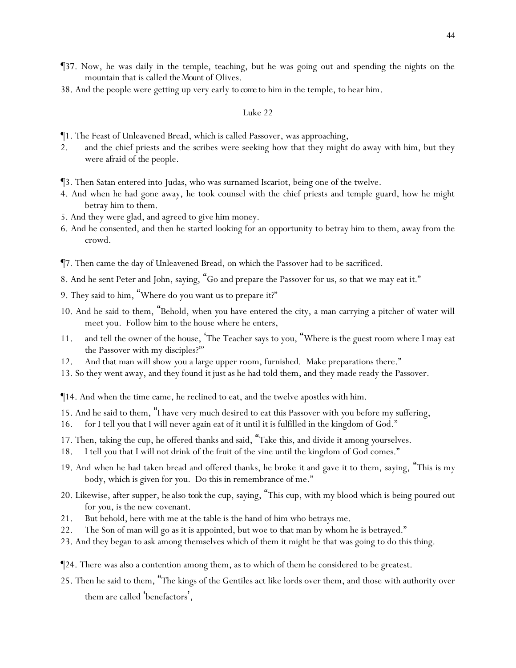- ¶37. Now, he was daily in the temple, teaching, but he was going out and spending the nights on the mountain that is called *the Mount* of Olives.
- 38. And the people were getting up very early *to come* to him in the temple, to hear him.

- ¶1. The Feast of Unleavened Bread, which is called Passover, was approaching,
- 2. and the chief priests and the scribes were seeking how that they might do away with him, but they were afraid of the people.
- ¶3. Then Satan entered into Judas, who was surnamed Iscariot, being one of the twelve.
- 4. And when he had gone away, he took counsel with the chief priests and temple guard, how he might betray him to them.
- 5. And they were glad, and agreed to give him money.
- 6. And he consented, and then he started looking for an opportunity to betray him to them, away from the crowd.
- ¶7. Then came the day of Unleavened Bread, on which the Passover had to be sacrificed.
- 8. And he sent Peter and John, saying, "Go and prepare the Passover for us, so that we may eat *it*."
- 9. They said to him, "Where do you want us to prepare *it*?"
- 10. And he said to them, "Behold, when *y*ou have entered the city, a man carrying a pitcher of water will meet *y*ou. Follow him to the house where he enters,
- 11. and tell the owner of the house, 'The Teacher says to you, "Where is the guest room where I may eat the Passover with my disciples?"'
- 12. And that man will show *y*ou a large upper room, furnished. Make preparations there."
- 13. So they went away, and they found *it* just as he had told them, and they made ready the Passover.
- ¶14. And when the time came, he reclined to eat, and the twelve apostles with him.
- 15. And he said to them, "I have very much desired to eat this Passover with *y*ou before my suffering,
- 16. for I tell *y*ou that I will never again eat of it until it is fulfilled in the kingdom of God."
- 17. Then, taking the cup, he offered thanks and said, "Take this, and divide it among *y*ourselves.
- 18. I tell *y*ou that I will not drink of the fruit of the vine until the kingdom of God comes."
- 19. And when he had taken bread and offered thanks, he broke *it* and gave *it* to them, saying, "This is my body, which is given for *y*ou. Do this in remembrance of me."
- 20. Likewise, after supper, *he* also *took* the cup, saying, "This cup, with my blood which is being poured out for *y*ou, is the new covenant.
- 21. But behold, here with me at the table is the hand of him who betrays me.
- 22. The Son of man will go as it is appointed, but woe to that man by whom he is betrayed."
- 23. And they began to ask among themselves which of them it might be that was going to do this thing.
- ¶24. There was also a contention among them, as to which of them he considered to be greatest.
- 25. Then he said to them, "The kings of the Gentiles act like lords over them, and those with authority over them are called 'benefactors',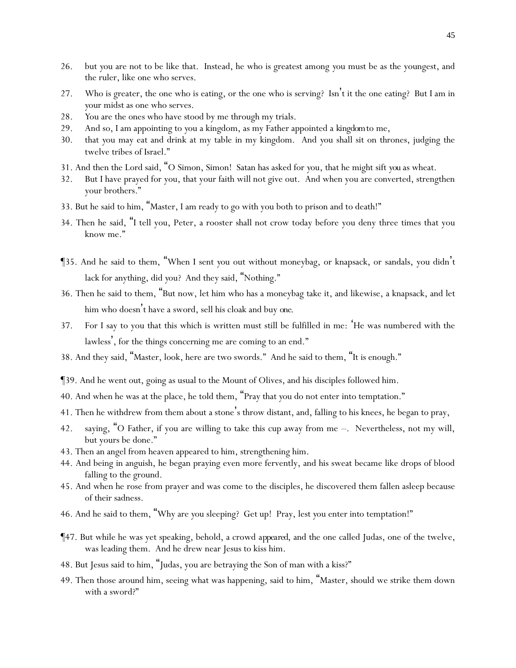- 26. but *y*ou are not to be like that. Instead, he who is greatest among *y*ou must be as the youngest, and the ruler, like one who serves.
- 27. Who is greater, the one who is eating, or the one who is serving? Isn't it the one eating? But I am in *y*our midst as one who serves.
- 28. *Y*ou are the ones who have stood by me through my trials.
- 29. And so, I am appointing to *y*ou a kingdom, as my Father appointed *a kingdom*to me,
- 30. that *y*ou may eat and drink at my table in my kingdom. And *y*ou shall sit on thrones, judging the twelve tribes of Israel."
- 31. And then the Lord said, "O Simon, Simon! Satan has asked for *y*ou, that he might sift *you* as wheat.
- 32. But I have prayed for you, that your faith will not give out. And when you are converted, strengthen your brothers."
- 33. But he said to him, "Master, I am ready to go with you both to prison and to death!"
- 34. Then he said, "I tell you, Peter, a rooster shall not crow today before you deny three times that you know me."
- ¶35. And he said to them, "When I sent *y*ou out without moneybag, or knapsack, or sandals, you didn't lack for anything, did *y*ou? And they said, "Nothing."
- 36. Then he said to them, "But now, let him who has a moneybag take it, and likewise, a knapsack, and let him who doesn't have a sword, sell his cloak and buy *one*.
- 37. For I say to you that this which is written must still be fulfilled in me: 'He was numbered with the lawless', for the things concerning me are coming to an end."
- 38. And they said, "Master, look, here are two swords." And he said to them, "It is enough."
- ¶39. And he went out, going as usual to the Mount of Olives, and his disciples followed him.
- 40. And when he was at the place, he told them, "Pray that *y*ou do not enter into temptation."
- 41. Then he withdrew from them about a stone's throw distant, and, falling to his knees, he began to pray,
- 42. saying, "O Father, if you are willing to take this cup away from me –. Nevertheless, not my will, but yours be done."
- 43. Then an angel from heaven appeared to him, strengthening him.
- 44. And being in anguish, he began praying even more fervently, and his sweat became like drops of blood falling to the ground.
- 45. And when he rose from prayer and was come to the disciples, he discovered them fallen asleep because of their sadness.
- 46. And he said to them, "Why are *y*ou sleeping? Get up! Pray, lest *y*ou enter into temptation!"
- ¶47. But while he was yet speaking, behold, a crowd *appeared*, and the one called Judas, one of the twelve, was leading them. And he drew near Jesus to kiss him.
- 48. But Jesus said to him, "Judas, you are betraying the Son of man with a kiss?"
- 49. Then those around him, seeing what was happening, said to him, "Master, should we strike them down with a sword?"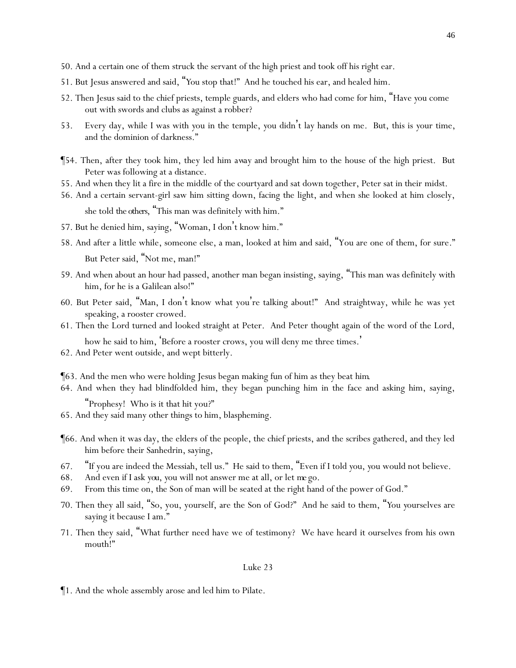- 50. And a certain one of them struck the servant of the high priest and took off his right ear.
- 51. But Jesus answered and said, "*Y*ou stop that!" And he touched his ear, and healed him.
- 52. Then Jesus said to the chief priests, temple guards, and elders who had come for him, "Have *y*ou come out with swords and clubs as against a robber?
- 53. Every day, while I was with *y*ou in the temple, *y*ou didn't lay hands on me. But, this is *y*our time, and the dominion of darkness."
- ¶54. Then, after they took him, they led him *away* and brought him to the house of the high priest. But Peter was following at a distance.
- 55. And when they lit a fire in the middle of the courtyard and sat down together, Peter sat in their midst.
- 56. And a certain servant-girl saw him sitting down, facing the light, and when she looked at him closely, she told *the others*, "This man was definitely with him."
- 57. But he denied him, saying, "Woman, I don't know him."
- 58. And after a little while, someone else, a man, looked at him and said, "You are one of them, for sure." But Peter said, "Not me, man!"
- 59. And when about an hour had passed, another man began insisting, saying, "This man was definitely with him, for he is a Galilean also!"
- 60. But Peter said, "Man, I don't know what you're talking about!" And straightway, while he was yet speaking, a rooster crowed.
- 61. Then the Lord turned and looked straight at Peter. And Peter thought again of the word of the Lord, how he said to him, 'Before a rooster crows, you will deny me three times. '
- 62. And Peter went outside, and wept bitterly.

¶63. And the men who were holding Jesus began making fun of him as they beat *him.*

64. And when they had blindfolded him, they began punching him in the face and asking him, saying,

"Prophesy! Who is it that hit you?"

- 65. And they said many other things to him, blaspheming.
- ¶66. And when it was day, the elders of the people, the chief priests, and the scribes gathered, and they led him before their Sanhedrin, saying,
- 67. "If you are indeed the Messiah, tell us." He said to them, "Even if I told *y*ou, *y*ou would not believe.
- 68. And even if I ask *you*, *y*ou will not answer me at all, or let *me* go.
- 69. From this time on, the Son of man will be seated at the right hand of the power of God."
- 70. Then they all said, "So, you, yourself, are the Son of God?" And he said to them, "*Y*ou *y*ourselves are saying it because I am."
- 71. Then they said, "What further need have we of testimony? We have heard it ourselves from his own mouth!"

#### Luke 23

¶1. And the whole assembly arose and led him to Pilate.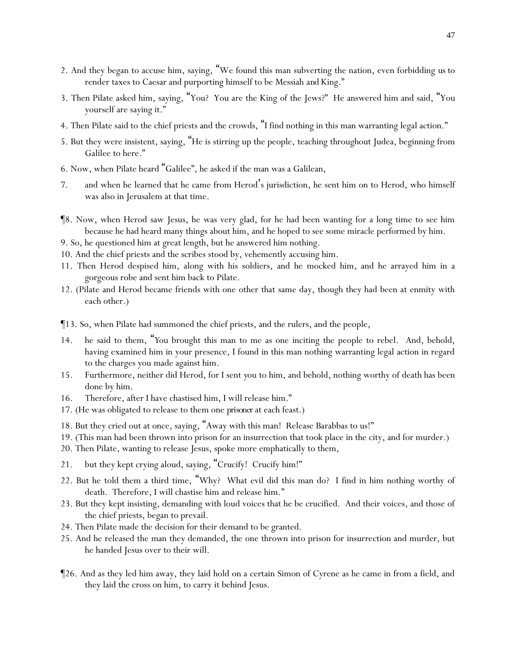- 2. And they began to accuse him, saying, "We found this man subverting the nation, even forbidding *us* to render taxes to Caesar and purporting himself to be Messiah *and* King."
- 3. Then Pilate asked him, saying, "You? You are the King of the Jews?" He answered him and said, "You yourself are saying it."
- 4. Then Pilate said to the chief priests and the crowds, "I find nothing in this man warranting legal action."
- 5. But they were insistent, saying, "He is stirring up the people, teaching throughout Judea, beginning from Galilee to here."
- 6. Now, when Pilate heard "Galilee", he asked if the man was a Galilean,
- 7. and when he learned that he came from Herod's jurisdiction, he sent him on to Herod, who himself was also in Jerusalem at that time.
- ¶8. Now, when Herod saw Jesus, he was very glad, for he had been wanting for a long time to see him because he had heard many things about him, and he hoped to see some miracle performed by him.
- 9. So, he questioned him at great length, but he answered him nothing.
- 10. And the chief priests and the scribes stood by, vehemently accusing him.
- 11. Then Herod despised him, along with his soldiers, and he mocked him*,* and he arrayed him in a gorgeous robe and sent him back to Pilate.
- 12. (Pilate and Herod became friends with one other that same day, though they had been at enmity with each other.)
- ¶13. So, when Pilate had summoned the chief priests, and the rulers, and the people,
- 14. he said to them, "*Y*ou brought this man to me as one inciting the people to rebel. And, behold, having examined him in your presence, I found in this man nothing warranting legal action in regard to the charges you made against him.
- 15. Furthermore, neither did Herod, for I sent *y*ou to him, and behold, nothing worthy of death has been done by him.
- 16. Therefore, after I have chastised him, I will release him."
- 17. (He was obligated to release to them one *prisoner*at each feast.)
- 18. But they cried out at once, saying, "Away with this man! Release Barabbas to us!"
- 19. (This man had been thrown into prison for an insurrection that took place in the city, and for murder.)
- 20. Then Pilate, wanting to release Jesus, spoke more emphatically to them,
- 21. but they kept crying aloud, saying, "Crucify! Crucify him!"
- 22. But he told them a third time, "Why? What evil did this man do? I find in him nothing worthy of death. Therefore, I will chastise him and release him."
- 23. But they kept insisting, demanding with loud voices that he be crucified. And their voices, and those of the chief priests, began to prevail.
- 24. Then Pilate made the decision for their demand to be granted.
- 25. And he released the man they demanded, the one thrown into prison for insurrection and murder, but he handed Jesus over to their will.
- ¶26. And as they led him away, they laid hold on a certain Simon of Cyrene as he came in from a field, and they laid the cross on him, to carry it behind Jesus.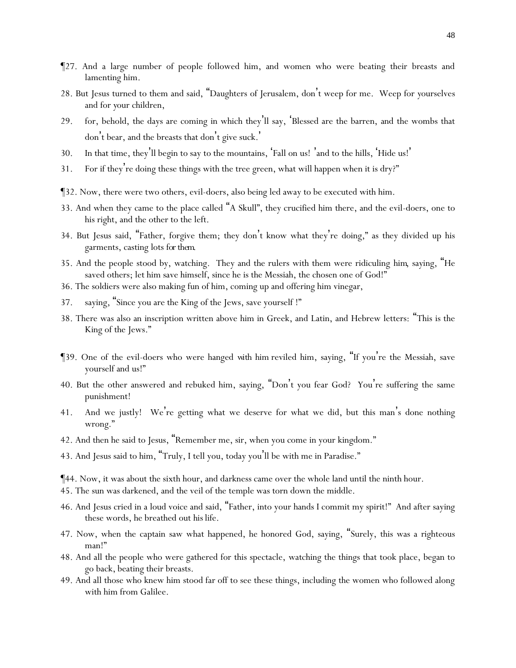- ¶27. And a large number of people followed him, and women who were beating their breasts and lamenting him.
- 28. But Jesus turned to them and said, "Daughters of Jerusalem, don't weep for me. Weep for *y*ourselves and for *y*our children,
- 29. for, behold, the days are coming in which they'll say, 'Blessed are the barren, and the wombs that don't bear, and the breasts that don't give suck. '
- 30. In that time, they'll begin to say to the mountains, 'Fall on us! 'and to the hills, 'Hide us! '
- 31. For if they're doing these things with the tree green, what will happen when it is dry?"
- ¶32. Now, there were two others, evil-doers, also being led away to be executed with him.
- 33. And when they came to the place called "A Skull", they crucified him there, and the evil-doers, one to his right, and the other to the left.
- 34. But Jesus said, "Father, forgive them; they don't know what they're doing," as they divided up his garments, casting lots *for them*.
- 35. And the people stood by, watching. They and the rulers with them were ridiculing *him*, saying, "He saved others; let him save himself, since he is the Messiah, the chosen one of God!"
- 36. The soldiers were also making fun of him, coming up and offering him vinegar,
- 37. saying, "Since you are the King of the Jews, save yourself !"
- 38. There was also an inscription written above him in Greek, and Latin, and Hebrew letters: "This is the King of the Jews."
- ¶39. One of the evil-doers who were hanged *with him* reviled him, saying, "If you're the Messiah, save yourself and us!"
- 40. But the other answered and rebuked him, saying, "Don't you fear God? You're suffering the same punishment!
- 41. And we justly! We're getting what we deserve for what we did, but this man's done nothing wrong."
- 42. And then he said to Jesus, "Remember me, sir, when you come in your kingdom."
- 43. And Jesus said to him, "Truly, I tell you, today you 'll be with me in Paradise."

¶44. Now, it was about the sixth hour, and darkness came over the whole land until the ninth hour.

- 45. The sun was darkened, and the veil of the temple was torn down the middle.
- 46. And Jesus cried in a loud voice and said, "Father, into your hands I commit my spirit!" And after saying these words, he breathed out *his* life.
- 47. Now, when the captain saw what happened, he honored God, saying, "Surely, this was a righteous man!"
- 48. And all the people who were gathered for this spectacle, watching the things that took place, began to go back*,* beating their breasts.
- 49. And all those who knew him stood far off to see these things, including the women who followed along with him from Galilee.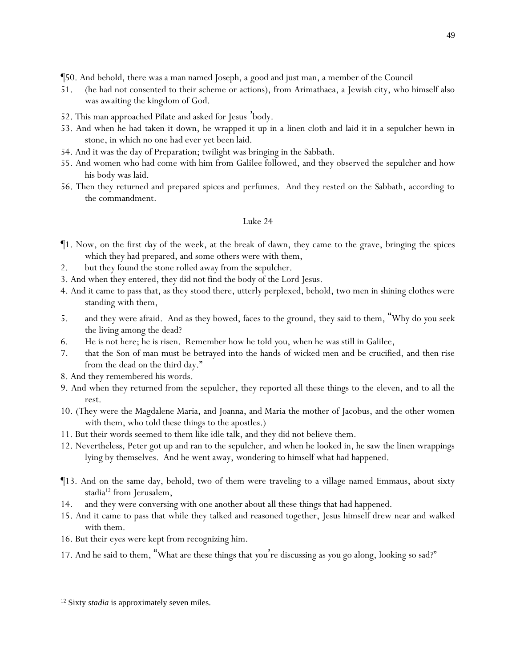- ¶50. And behold, there was a man named Joseph, a good and just man, a member of the Council
- 51. (he had not consented to their scheme or actions), from Arimathaea, a Jewish city, who himself also was awaiting the kingdom of God.
- 52. This man approached Pilate and asked for Jesus 'body.
- 53. And when he had taken it down, he wrapped it up in a linen cloth and laid it in a sepulcher hewn in stone, in which no one had ever yet been laid.
- 54. And it was the day of Preparation; twilight was bringing in the Sabbath.
- 55. And women who had come with him from Galilee followed, and they observed the sepulcher and how his body was laid.
- 56. Then they returned and prepared spices and perfumes. And they rested on the Sabbath, according to the commandment.

- ¶1. Now, on the first *day* of the week, at the break of dawn, they came to the grave, bringing the spices which they had prepared, and some others were with them,
- 2. but they found the stone rolled away from the sepulcher.
- 3. And when they entered, they did not find the body of the Lord Jesus.
- 4. And it came to pass that, as they stood there, utterly perplexed, behold, two men in shining clothes were standing with them,
- 5. and they were afraid. And as they bowed, faces to the ground, they said to them, "Why do *y*ou seek the living among the dead?
- 6. He is not here; he is risen. Remember how he told *y*ou, when he was still in Galilee,
- 7. that the Son of man must be betrayed into the hands of wicked men and be crucified, and then rise from the dead on the third day."
- 8. And they remembered his words.
- 9. And when they returned from the sepulcher, they reported all these things to the eleven, and to all the rest.
- 10. (They were the Magdalene Maria, and Joanna, and Maria the mother of Jacobus, and the other women with them, who told these things to the apostles.)
- 11. But their words seemed to them like idle talk, and they did not believe them.
- 12. Nevertheless, Peter got up and ran to the sepulcher, and when he looked in, he saw the linen wrappings lying by themselves. And he went away, wondering to himself what had happened.
- ¶13. And on the same day, behold, two of them were traveling to a village named Emmaus, about sixty stadia<sup>12</sup> from Jerusalem,
- 14. and they were conversing with one another about all these things that had happened.
- 15. And it came to pass that while they talked and reasoned together, Jesus himself drew near and walked with them.
- 16. But their eyes were kept from recognizing him.
- 17. And he said to them, "What are these things that *y*ou're discussing as *y*ou go along, looking so sad?"

<sup>&</sup>lt;sup>12</sup> Sixty *stadia* is approximately seven miles.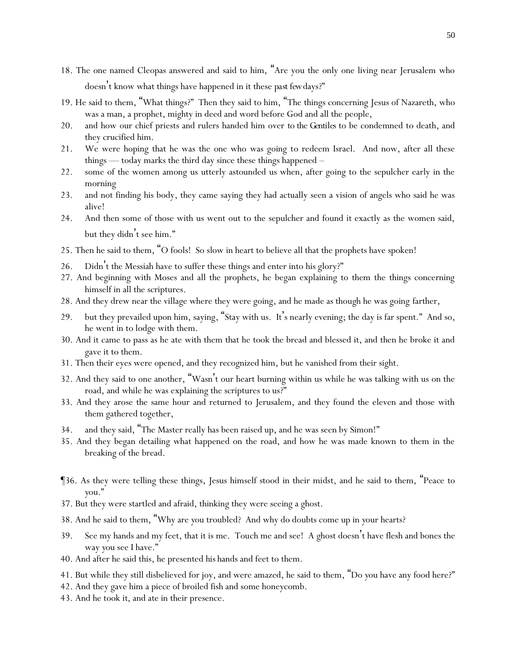- 18. The one named Cleopas answered and said to him, "Are you the only one living near Jerusalem who doesn't know what things have happened in it these *past few*days?"
- 19. He said to them, "What things?" Then they said to him, "The things concerning Jesus of Nazareth, who was a man, a prophet, mighty in deed and word before God and all the people,
- 20. and how our chief priests and rulers handed him over *to the Gentiles* to be condemned to death, and they crucified him.
- 21. We were hoping that he was the one who was going to redeem Israel. And now, after all these things — today marks the third day since these things happened  $-$
- 22. some of the women among us utterly astounded us when, after going to the sepulcher early in the morning
- 23. and not finding his body, they came saying they had actually seen a vision of angels who said he was alive!
- 24. And then some of those with us went out to the sepulcher and found it exactly as the women said, but they didn't see him."
- 25. Then he said to them, "O fools! So slow in heart to believe all that the prophets have spoken!
- 26. Didn't the Messiah have to suffer these things and enter into his glory?"
- 27. And beginning with Moses and all the prophets, he began explaining to them the things concerning himself in all the scriptures.
- 28. And they drew near the village where they were going, and he made as though he was going farther,
- 29. but they prevailed upon him, saying, "Stay with us. It's nearly evening; the day is far spent." And so, he went in to lodge with them.
- 30. And it came to pass as he ate with them that he took the bread and blessed it, and then he broke it and gave it to them.
- 31. Then their eyes were opened, and they recognized him, but he vanished from their sight.
- 32. And they said to one another, "Wasn't our heart burning within us while he was talking with us on the road, and while he was explaining the scriptures to us?"
- 33. And they arose the same hour and returned to Jerusalem, and they found the eleven and those with them gathered together,
- 34. and they said, "The Master really has been raised up, and he was seen by Simon!"
- 35. And they began detailing what happened on the road, and how he was made known to them in the breaking of the bread.
- ¶36. As they were telling these things, Jesus himself stood in their midst, and he said to them, "Peace to *y*ou."
- 37. But they were startled and afraid, thinking they were seeing a ghost.
- 38. And he said to them, "Why are *y*ou troubled? And why do doubts come up in *y*our hearts?
- 39. See my hands and my feet, that it is me. Touch me and see! A ghost doesn't have flesh and bones the way *y*ou see I have."
- 40. And after he said this, he presented *his* hands and feet to them.
- 41. But while they still disbelieved for joy, and were amazed, he said to them, "Do *y*ou have any food here?"
- 42. And they gave him a piece of broiled fish and some honeycomb.
- 43. And he took *it*, and ate in their presence.